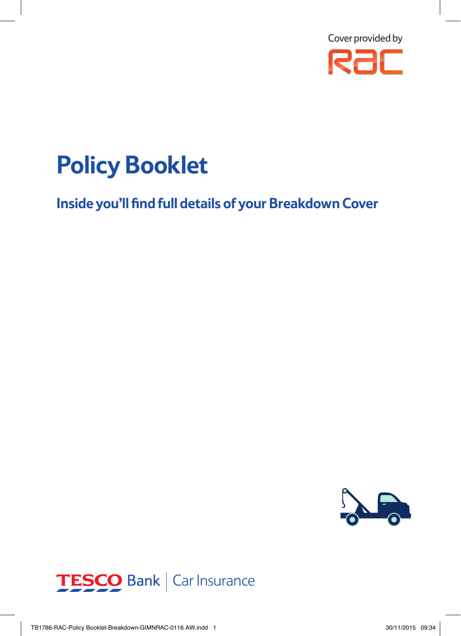![](_page_0_Picture_0.jpeg)

# **Policy Booklet**

**Inside you'll find full details of your Breakdown Cover**

![](_page_0_Picture_3.jpeg)

![](_page_0_Picture_4.jpeg)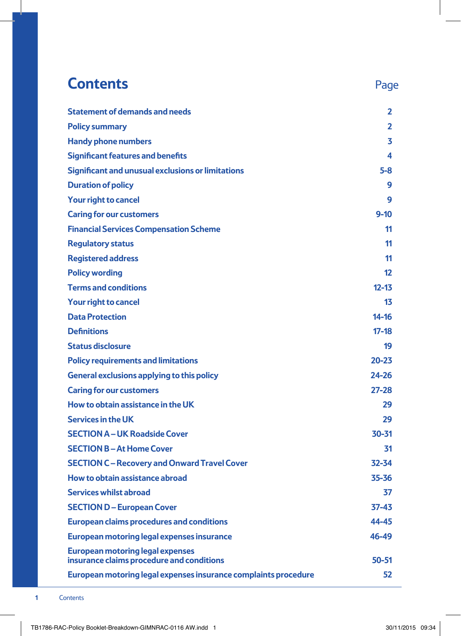### **Contents** Page **Statement of demands and needs 2 Policy summary 2 Handy phone numbers 3 Significant features and benefits 4 Significant and unusual exclusions or limitations 5-8 Duration of policy 9 Your right to cancel 9 Caring for our customers 9-10 Financial Services Compensation Scheme 11 Regulatory status 11 Registered address 11 Policy wording 12 Terms and conditions 12-13 Your right to cancel 13 Data Protection 14-16 Definitions 17-18 Status disclosure 19 Policy requirements and limitations 20-23 General exclusions applying to this policy 24-26 Caring for our customers 27-28 How to obtain assistance in the UK 29 Services in the UK 29 SECTION A – UK Roadside Cover 30-31 SECTION B – At Home Cover 31 SECTION C – Recovery and Onward Travel Cover 32-34 How to obtain assistance abroad 35-36 Services whilst abroad 37 SECTION D – European Cover 37-43 European claims procedures and conditions 44-45 European motoring legal expenses insurance 46-49 European motoring legal expenses insurance claims procedure and conditions 50-51 European motoring legal expenses insurance complaints procedure 52**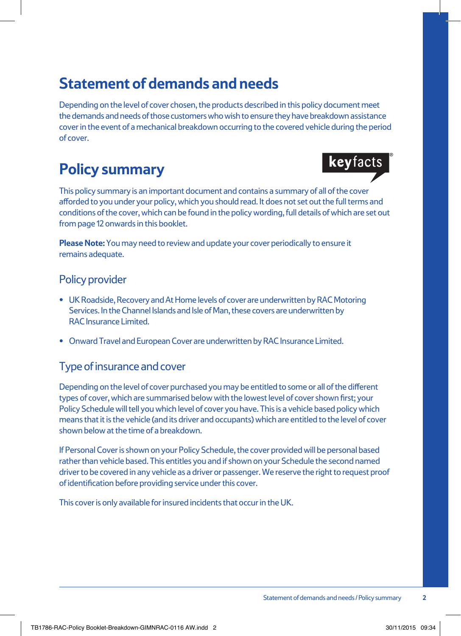### **Statement of demands and needs**

Depending on the level of cover chosen, the products described in this policy document meet the demands and needs of those customers who wish to ensure they have breakdown assistance cover in the event of a mechanical breakdown occurring to the covered vehicle during the period of cover.

## **Policy summary**

keyfacts

This policy summary is an important document and contains a summary of all of the cover afforded to you under your policy, which you should read. It does not set out the full terms and conditions of the cover, which can be found in the policy wording, full details of which are set out from page 12 onwards in this booklet.

**Please Note:** You may need to review and update your cover periodically to ensure it remains adequate.

#### Policy provider

- **•** UK Roadside, Recovery and At Home levels of cover are underwritten by RAC Motoring Services. In the Channel Islands and Isle of Man, these covers are underwritten by RAC Insurance Limited.
- **•** Onward Travel and European Cover are underwritten by RAC Insurance Limited.

#### Type of insurance and cover

Depending on the level of cover purchased you may be entitled to some or all of the different types of cover, which are summarised below with the lowest level of cover shown first; your Policy Schedule will tell you which level of cover you have. This is a vehicle based policy which means that it is the vehicle (and its driver and occupants) which are entitled to the level of cover shown below at the time of a breakdown.

If Personal Cover is shown on your Policy Schedule, the cover provided will be personal based rather than vehicle based. This entitles you and if shown on your Schedule the second named driver to be covered in any vehicle as a driver or passenger. We reserve the right to request proof of identification before providing service under this cover.

This cover is only available for insured incidents that occur in the UK.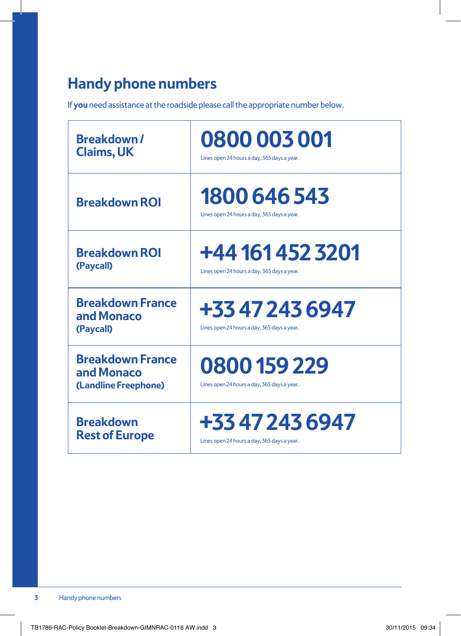### **Handy phone numbers**

If **you** need assistance at the roadside please call the appropriate number below.

| <b>Breakdown/</b>                                             | 0800 003 001                                                   |
|---------------------------------------------------------------|----------------------------------------------------------------|
| <b>Claims, UK</b>                                             | Lines open 24 hours a day, 365 days a year.                    |
| <b>Breakdown ROI</b>                                          | 1800 646 543<br>Lines open 24 hours a day, 365 days a year.    |
| <b>Breakdown ROI</b>                                          | +44 161 452 3201                                               |
| (Paycall)                                                     | Lines open 24 hours a day, 365 days a year.                    |
| <b>Breakdown France</b><br>and Monaco<br>(Paycall)            | +33 47 243 6947<br>Lines open 24 hours a day, 365 days a year. |
| <b>Breakdown France</b><br>and Monaco<br>(Landline Freephone) | 0800 159 229<br>Lines open 24 hours a day, 365 days a year.    |
| <b>Breakdown</b>                                              | +33 47 243 6947                                                |
| <b>Rest of Europe</b>                                         | Lines open 24 hours a day, 365 days a year.                    |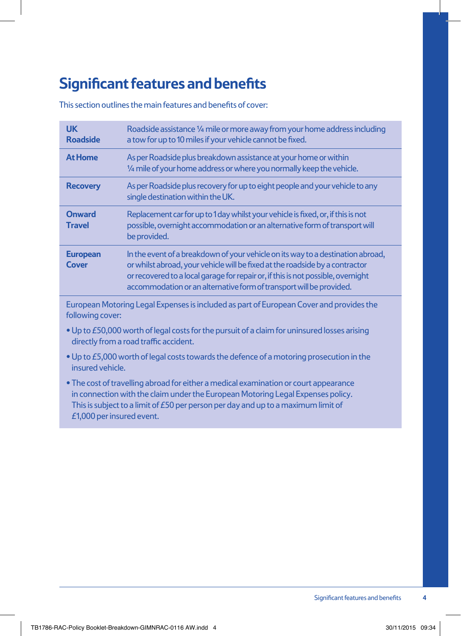### **Significant features and benefits**

This section outlines the main features and benefits of cover:

| <b>UK</b><br><b>Roadside</b>    | Roadside assistance 1/4 mile or more away from your home address including<br>a tow for up to 10 miles if your vehicle cannot be fixed.                                                                                                                                                                                    |
|---------------------------------|----------------------------------------------------------------------------------------------------------------------------------------------------------------------------------------------------------------------------------------------------------------------------------------------------------------------------|
| <b>At Home</b>                  | As per Roadside plus breakdown assistance at your home or within<br>1/4 mile of your home address or where you normally keep the vehicle.                                                                                                                                                                                  |
| <b>Recovery</b>                 | As per Roadside plus recovery for up to eight people and your vehicle to any<br>single destination within the UK.                                                                                                                                                                                                          |
| <b>Onward</b><br><b>Travel</b>  | Replacement car for up to 1 day whilst your vehicle is fixed, or, if this is not<br>possible, overnight accommodation or an alternative form of transport will<br>be provided.                                                                                                                                             |
| <b>European</b><br><b>Cover</b> | In the event of a breakdown of your vehicle on its way to a destination abroad,<br>or whilst abroad, your vehicle will be fixed at the roadside by a contractor<br>or recovered to a local garage for repair or, if this is not possible, overnight<br>accommodation or an alternative form of transport will be provided. |

European Motoring Legal Expenses is included as part of European Cover and provides the following cover:

- •Up to £50,000 worth of legal costs for the pursuit of a claim for uninsured losses arising directly from a road traffic accident.
- •Up to £5,000 worth of legal costs towards the defence of a motoring prosecution in the insured vehicle.
- The cost of travelling abroad for either a medical examination or court appearance in connection with the claim under the European Motoring Legal Expenses policy. This is subject to a limit of £50 per person per day and up to a maximum limit of £1,000 per insured event.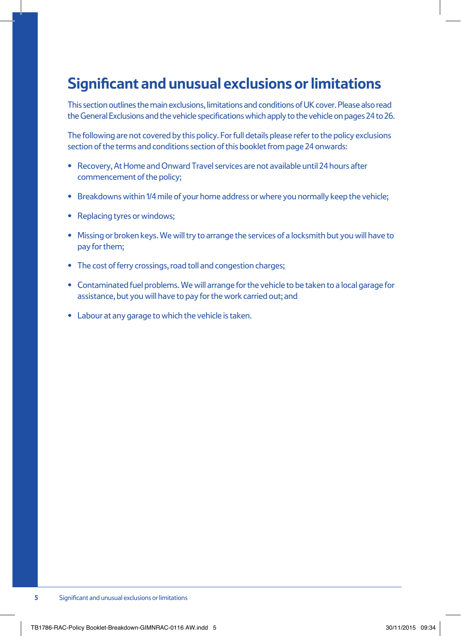### **Significant and unusual exclusions or limitations**

This section outlines the main exclusions, limitations and conditions of UK cover. Please also read the General Exclusions and the vehicle specifications which apply to the vehicle on pages 24 to 26.

The following are not covered by this policy. For full details please refer to the policy exclusions section of the terms and conditions section of this booklet from page 24 onwards:

- **•** Recovery, At Home and Onward Travel services are not available until 24 hours after commencement of the policy;
- **•** Breakdowns within 1/4 mile of your home address or where you normally keep the vehicle;
- **•** Replacing tyres or windows;
- **•** Missing or broken keys. We will try to arrange the services of a locksmith but you will have to pay for them;
- **•** The cost of ferry crossings, road toll and congestion charges;
- **•** Contaminated fuel problems. We will arrange for the vehicle to be taken to a local garage for assistance, but you will have to pay for the work carried out; and
- **•** Labour at any garage to which the vehicle is taken.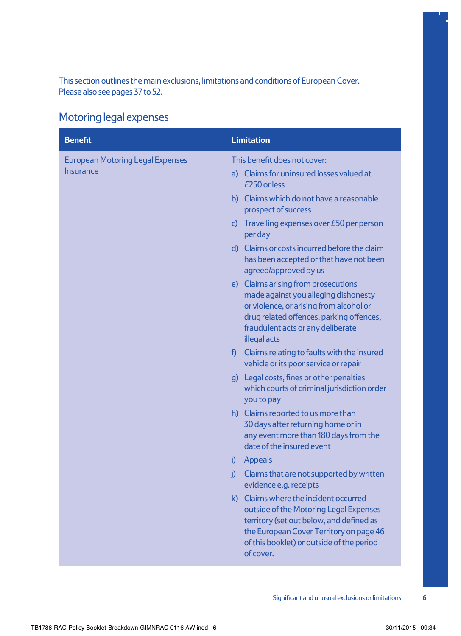This section outlines the main exclusions, limitations and conditions of European Cover. Please also see pages 37 to 52.

#### Motoring legal expenses

| <b>Benefit</b>                                       | <b>Limitation</b>                                                                                                                                                                                                                                                                                                                                                                                                                                                                                                                                                                                                                                                                                                                                                                                                                                                                                                                                                                                                                                             |
|------------------------------------------------------|---------------------------------------------------------------------------------------------------------------------------------------------------------------------------------------------------------------------------------------------------------------------------------------------------------------------------------------------------------------------------------------------------------------------------------------------------------------------------------------------------------------------------------------------------------------------------------------------------------------------------------------------------------------------------------------------------------------------------------------------------------------------------------------------------------------------------------------------------------------------------------------------------------------------------------------------------------------------------------------------------------------------------------------------------------------|
| <b>European Motoring Legal Expenses</b><br>Insurance | This benefit does not cover:<br>a) Claims for uninsured losses valued at<br>£250 or less<br>b) Claims which do not have a reasonable<br>prospect of success<br>c) Travelling expenses over $E50$ per person<br>per day<br>d) Claims or costs incurred before the claim<br>has been accepted or that have not been<br>agreed/approved by us<br>e) Claims arising from prosecutions<br>made against you alleging dishonesty<br>or violence, or arising from alcohol or<br>drug related offences, parking offences,<br>fraudulent acts or any deliberate<br>illegal acts<br>f) Claims relating to faults with the insured<br>vehicle or its poor service or repair<br>g) Legal costs, fines or other penalties<br>which courts of criminal jurisdiction order<br>you to pay<br>h) Claims reported to us more than<br>30 days after returning home or in<br>any event more than 180 days from the<br>date of the insured event<br>Appeals<br>i)<br>j) Claims that are not supported by written<br>evidence e.g. receipts<br>k) Claims where the incident occurred |
|                                                      | outside of the Motoring Legal Expenses<br>territory (set out below, and defined as<br>the European Cover Territory on page 46<br>of this booklet) or outside of the period<br>of cover.                                                                                                                                                                                                                                                                                                                                                                                                                                                                                                                                                                                                                                                                                                                                                                                                                                                                       |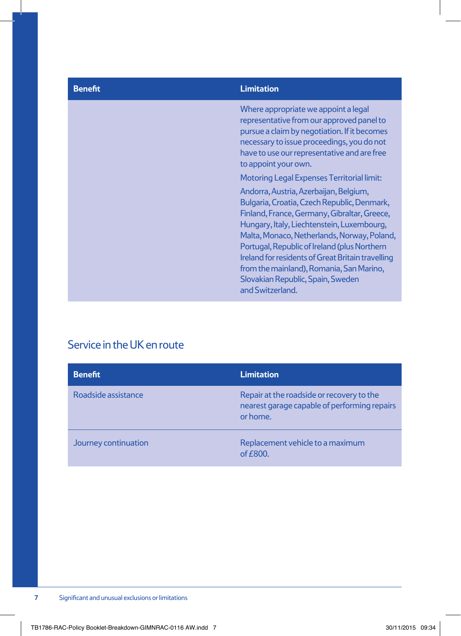#### **Benefit Limitation**

Where appropriate we appoint a legal representative from our approved panel to pursue a claim by negotiation. If it becomes necessary to issue proceedings, you do not have to use our representative and are free to appoint your own.

Motoring Legal Expenses Territorial limit:

Andorra, Austria, Azerbaijan, Belgium, Bulgaria, Croatia, Czech Republic, Denmark, Finland, France, Germany, Gibraltar, Greece, Hungary, Italy, Liechtenstein, Luxembourg, Malta, Monaco, Netherlands, Norway, Poland, Portugal, Republic of Ireland (plus Northern Ireland for residents of Great Britain travelling from the mainland), Romania, San Marino, Slovakian Republic, Spain, Sweden and Switzerland.

#### Service in the UK en route

| <b>Benefit</b>       | <b>Limitation</b>                                                                                     |
|----------------------|-------------------------------------------------------------------------------------------------------|
| Roadside assistance  | Repair at the roadside or recovery to the<br>nearest garage capable of performing repairs<br>or home. |
| Journey continuation | Replacement vehicle to a maximum<br>of $E800$ .                                                       |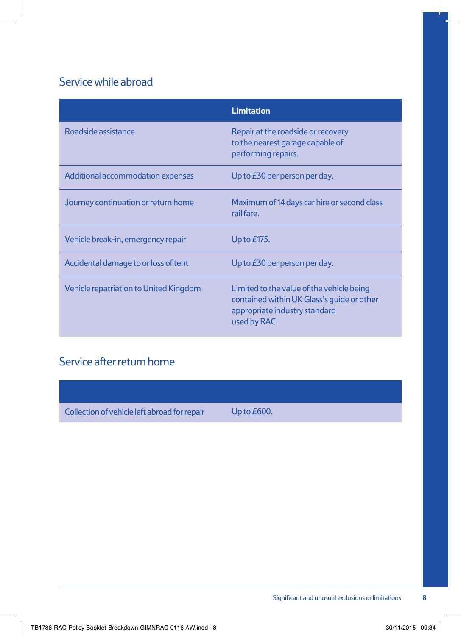#### Service while abroad

|                                        | <b>Limitation</b>                                                                                                                        |
|----------------------------------------|------------------------------------------------------------------------------------------------------------------------------------------|
| Roadside assistance                    | Repair at the roadside or recovery<br>to the nearest garage capable of<br>performing repairs.                                            |
| Additional accommodation expenses      | Up to $E30$ per person per day.                                                                                                          |
| Journey continuation or return home    | Maximum of 14 days car hire or second class<br>rail fare.                                                                                |
| Vehicle break-in, emergency repair     | Up to $E$ 175.                                                                                                                           |
| Accidental damage to or loss of tent   | Up to $E30$ per person per day.                                                                                                          |
| Vehicle repatriation to United Kingdom | Limited to the value of the vehicle being<br>contained within UK Glass's quide or other<br>appropriate industry standard<br>used by RAC. |

### Service after return home

Collection of vehicle left abroad for repair Up to £600.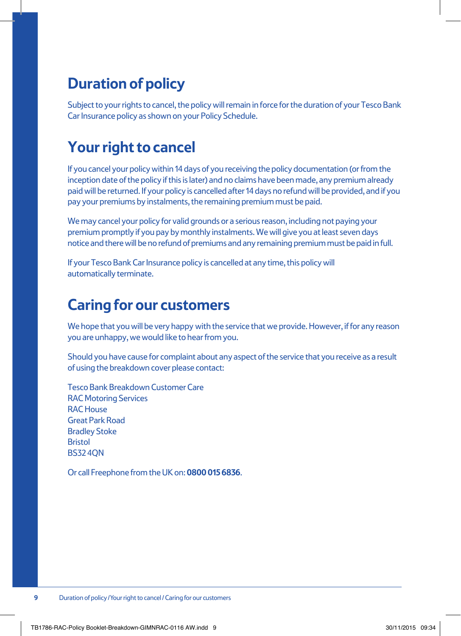### **Duration of policy**

Subject to your rights to cancel, the policy will remain in force for the duration of your Tesco Bank Car Insurance policy as shown on your Policy Schedule.

### **Your right to cancel**

If you cancel your policy within 14 days of you receiving the policy documentation (or from the inception date of the policy if this is later) and no claims have been made, any premium already paid will be returned. If your policy is cancelled after 14 days no refund will be provided, and if you pay your premiums by instalments, the remaining premium must be paid.

We may cancel your policy for valid grounds or a serious reason, including not paying your premium promptly if you pay by monthly instalments. We will give you at least seven days notice and there will be no refund of premiums and any remaining premium must be paid in full.

If your Tesco Bank Car Insurance policy is cancelled at any time, this policy will automatically terminate.

### **Caring for our customers**

We hope that you will be very happy with the service that we provide. However, if for any reason you are unhappy, we would like to hear from you.

Should you have cause for complaint about any aspect of the service that you receive as a result of using the breakdown cover please contact:

Tesco Bank Breakdown Customer Care RAC Motoring Services RAC House Great Park Road Bradley Stoke **Bristol** BS32 4QN

Or call Freephone from the UK on: **0800 015 6836**.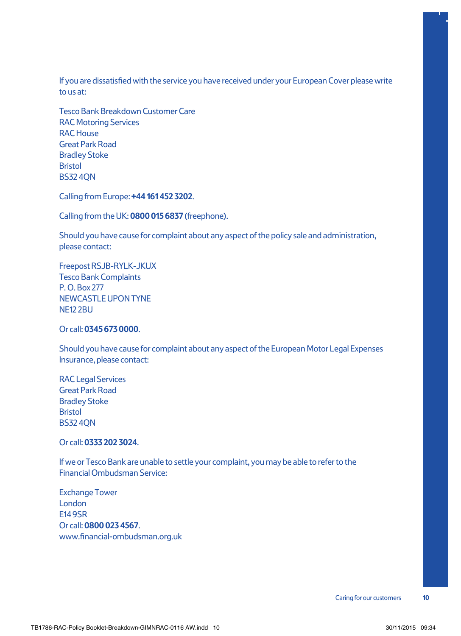If you are dissatisfied with the service you have received under your European Cover please write to us at:

Tesco Bank Breakdown Customer Care RAC Motoring Services RAC House Great Park Road Bradley Stoke **Bristol** BS32 4QN

Calling from Europe: **+44 161 452 3202**.

Calling from the UK: **0800 015 6837** (freephone).

Should you have cause for complaint about any aspect of the policy sale and administration, please contact:

Freepost RSJB-RYLK-JKUX Tesco Bank Complaints P. O. Box 277 NEWCASTLE UPON TYNE NE12 2BU

#### Or call: **0345 673 0000**.

Should you have cause for complaint about any aspect of the European Motor Legal Expenses Insurance, please contact:

RAC Legal Services Great Park Road Bradley Stoke **Bristol** BS32 4QN

Or call: **0333 202 3024**.

If we or Tesco Bank are unable to settle your complaint, you may be able to refer to the Financial Ombudsman Service:

Exchange Tower London E14 9SR Or call: **0800 023 4567**. www.financial-ombudsman.org.uk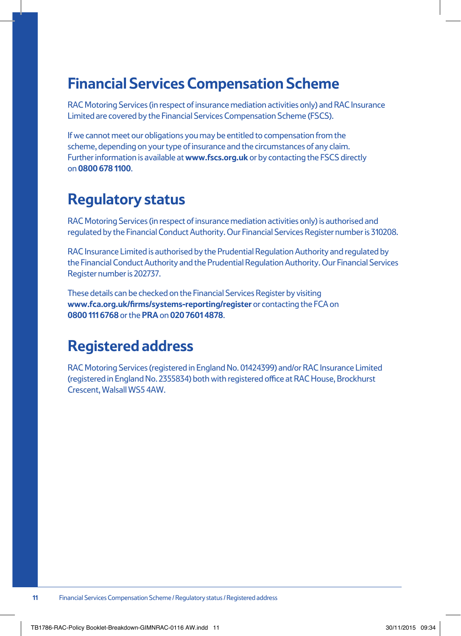### **Financial Services Compensation Scheme**

RAC Motoring Services (in respect of insurance mediation activities only) and RAC Insurance Limited are covered by the Financial Services Compensation Scheme (FSCS).

If we cannot meet our obligations you may be entitled to compensation from the scheme, depending on your type of insurance and the circumstances of any claim. Further information is available at **www.fscs.org.uk** or by contacting the FSCS directly on **0800 678 1100**.

### **Regulatory status**

RAC Motoring Services (in respect of insurance mediation activities only) is authorised and regulated by the Financial Conduct Authority. Our Financial Services Register number is 310208.

RAC Insurance Limited is authorised by the Prudential Regulation Authority and regulated by the Financial Conduct Authority and the Prudential Regulation Authority. Our Financial Services Register number is 202737.

These details can be checked on the Financial Services Register by visiting **www.fca.org.uk/firms/systems-reporting/register** or contacting the FCA on **0800 111 6768** or the **PRA** on **020 7601 4878**.

### **Registered address**

RAC Motoring Services (registered in England No. 01424399) and/or RAC Insurance Limited (registered in England No. 2355834) both with registered office at RAC House, Brockhurst Crescent, Walsall WS5 4AW.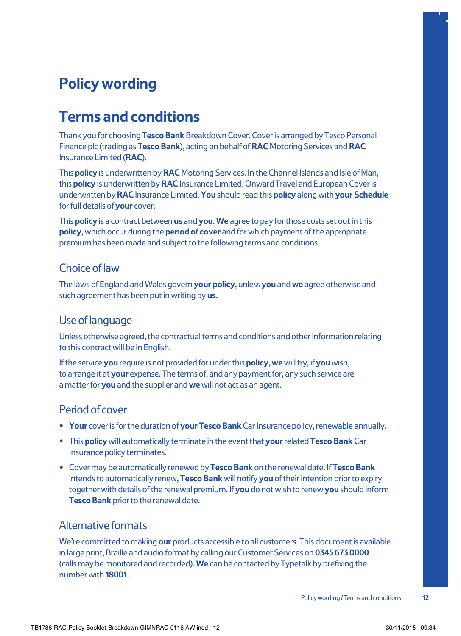### **Policy wording**

### **Terms and conditions**

Thank you for choosing **Tesco Bank** Breakdown Cover. Cover is arranged by Tesco Personal Finance plc (trading as **Tesco Bank**), acting on behalf of **RAC** Motoring Services and **RAC** Insurance Limited (**RAC**).

This **policy** is underwritten by **RAC** Motoring Services. In the Channel Islands and Isle of Man, this **policy** is underwritten by **RAC** Insurance Limited. Onward Travel and European Cover is underwritten by **RAC** Insurance Limited. **You** should read this **policy** along with **your Schedule** for full details of **your** cover.

This **policy** is a contract between **us** and **you**. **We** agree to pay for those costs set out in this **policy**, which occur during the **period of cover** and for which payment of the appropriate premium has been made and subject to the following terms and conditions.

#### Choice of law

The laws of England and Wales govern **your policy**, unless **you** and **we** agree otherwise and such agreement has been put in writing by **us**.

#### Use of language

Unless otherwise agreed, the contractual terms and conditions and other information relating to this contract will be in English.

If the service **you** require is not provided for under this **policy**, **we** will try, if **you** wish, to arrange it at **your** expense. The terms of, and any payment for, any such service are a matter for **you** and the supplier and **we** will not act as an agent.

#### Period of cover

- **• Your** cover is for the duration of **your Tesco Bank** Car Insurance policy, renewable annually.
- **•** This **policy** will automatically terminate in the event that **your** related **Tesco Bank** Car Insurance policy terminates.
- **•** Cover may be automatically renewed by **Tesco Bank** on the renewal date. If **Tesco Bank** intends to automatically renew, **Tesco Bank** will notify **you** of their intention prior to expiry together with details of the renewal premium. If **you** do not wish to renew **you** should inform **Tesco Bank** prior to the renewal date.

#### Alternative formats

We're committed to making **our** products accessible to all customers. This document is available in large print, Braille and audio format by calling our Customer Services on **0345 673 0000** (calls may be monitored and recorded). **We** can be contacted by Typetalk by prefixing the number with **18001**.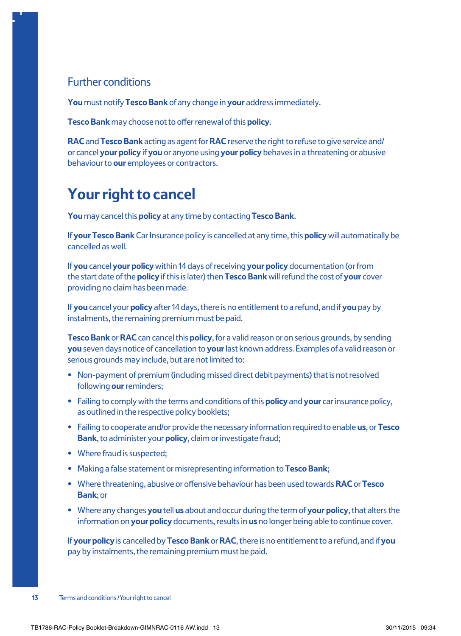#### Further conditions

**You** must notify **Tesco Bank** of any change in **your** address immediately.

**Tesco Bank** may choose not to offer renewal of this **policy**.

**RAC** and **Tesco Bank** acting as agent for **RAC** reserve the right to refuse to give service and/ or cancel **your policy** if **you** or anyone using **your policy** behaves in a threatening or abusive behaviour to **our** employees or contractors.

### **Your right to cancel**

**You** may cancel this **policy** at any time by contacting **Tesco Bank**.

If **your Tesco Bank** Car Insurance policy is cancelled at any time, this **policy** will automatically be cancelled as well.

If **you** cancel **your policy** within 14 days of receiving **your policy** documentation (or from the start date of the **policy** if this is later) then **Tesco Bank** will refund the cost of **your** cover providing no claim has been made.

If **you** cancel your **policy** after 14 days, there is no entitlement to a refund, and if **you** pay by instalments, the remaining premium must be paid.

**Tesco Bank** or **RAC** can cancel this **policy**, for a valid reason or on serious grounds, by sending **you** seven days notice of cancellation to **your** last known address. Examples of a valid reason or serious grounds may include, but are not limited to:

- **•** Non-payment of premium (including missed direct debit payments) that is not resolved following **our** reminders;
- **•** Failing to comply with the terms and conditions of this **policy** and **your** car insurance policy, as outlined in the respective policy booklets;
- **•** Failing to cooperate and/or provide the necessary information required to enable **us**, or **Tesco Bank**, to administer your **policy**, claim or investigate fraud;
- **•** Where fraud is suspected;
- **•** Making a false statement or misrepresenting information to **Tesco Bank**;
- **•** Where threatening, abusive or offensive behaviour has been used towards **RAC** or **Tesco Bank**; or
- **•** Where any changes **you** tell **us** about and occur during the term of **your policy**, that alters the information on **your policy** documents, results in **us** no longer being able to continue cover.

If **your policy** is cancelled by **Tesco Bank** or **RAC**, there is no entitlement to a refund, and if **you**  pay by instalments, the remaining premium must be paid.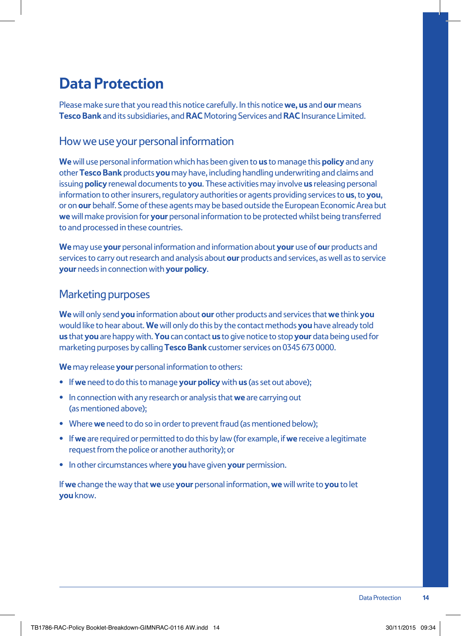### **Data Protection**

Please make sure that you read this notice carefully. In this notice **we, us** and **our** means **Tesco Bank** and its subsidiaries, and **RAC** Motoring Services and **RAC** Insurance Limited.

#### How we use your personal information

**We** will use personal information which has been given to **us** to manage this **policy** and any other **Tesco Bank** products **you** may have, including handling underwriting and claims and issuing **policy** renewal documents to **you**. These activities may involve **us** releasing personal information to other insurers, regulatory authorities or agents providing services to **us**, to **you**, or on **our** behalf. Some of these agents may be based outside the European Economic Area but **we** will make provision for **your** personal information to be protected whilst being transferred to and processed in these countries.

**We** may use **your** personal information and information about **your** use of **ou**r products and services to carry out research and analysis about **our** products and services, as well as to service **your** needs in connection with **your policy**.

#### Marketing purposes

**We** will only send **you** information about **our** other products and services that **we** think **you** would like to hear about. **We** will only do this by the contact methods **you** have already told **us** that **you** are happy with. **You** can contact **us** to give notice to stop **your** data being used for marketing purposes by calling **Tesco Bank** customer services on 0345 673 0000.

**We** may release **your** personal information to others:

- **•** If **we** need to do this to manage **your policy** with **us** (as set out above);
- **•** In connection with any research or analysis that **we** are carrying out (as mentioned above);
- **•** Where **we** need to do so in order to prevent fraud (as mentioned below);
- **•** If **we** are required or permitted to do this by law (for example, if **we** receive a legitimate request from the police or another authority); or
- **•** In other circumstances where **you** have given **your** permission.

If **we** change the way that **we** use **your** personal information, **we** will write to **you** to let **you** know.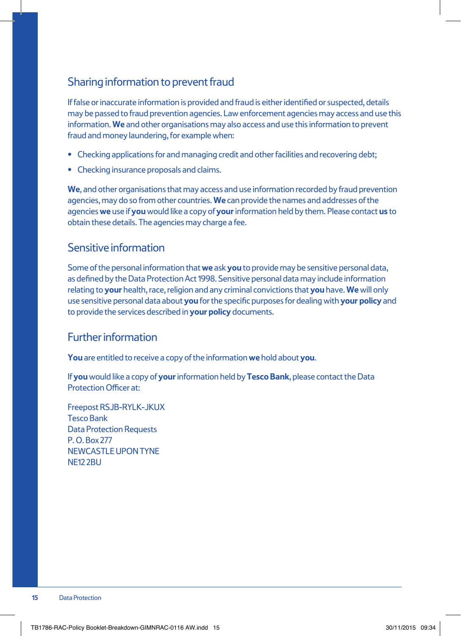#### Sharing information to prevent fraud

If false or inaccurate information is provided and fraud is either identified or suspected, details may be passed to fraud prevention agencies. Law enforcement agencies may access and use this information. **We** and other organisations may also access and use this information to prevent fraud and money laundering, for example when:

- **•** Checking applications for and managing credit and other facilities and recovering debt;
- **•** Checking insurance proposals and claims.

**We**, and other organisations that may access and use information recorded by fraud prevention agencies, may do so from other countries. **We** can provide the names and addresses of the agencies **we** use if **you** would like a copy of **your** information held by them. Please contact **us** to obtain these details. The agencies may charge a fee.

#### Sensitive information

Some of the personal information that **we** ask **you** to provide may be sensitive personal data, as defined by the Data Protection Act 1998. Sensitive personal data may include information relating to **your** health, race, religion and any criminal convictions that **you** have. **We** will only use sensitive personal data about **you** for the specific purposes for dealing with **your policy** and to provide the services described in **your policy** documents.

#### Further information

**You** are entitled to receive a copy of the information **we** hold about **you**.

If **you** would like a copy of **your** information held by **Tesco Bank**, please contact the Data Protection Officer at:

Freepost RSJB-RYLK-JKUX Tesco Bank Data Protection Requests P. O. Box 277 NEWCASTLE UPON TYNE **NE12 2BU**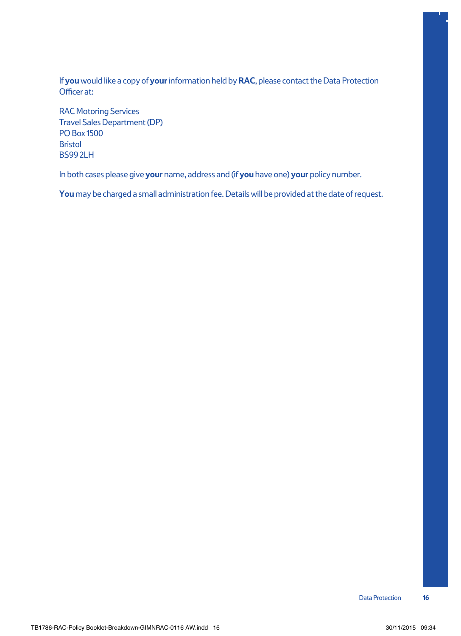If **you** would like a copy of **your** information held by **RAC**, please contact the Data Protection Officer at:

RAC Motoring Services Travel Sales Department (DP) PO Box 1500 Bristol **BS992LH** 

In both cases please give **your** name, address and (if **you** have one) **your** policy number.

**You** may be charged a small administration fee. Details will be provided at the date of request.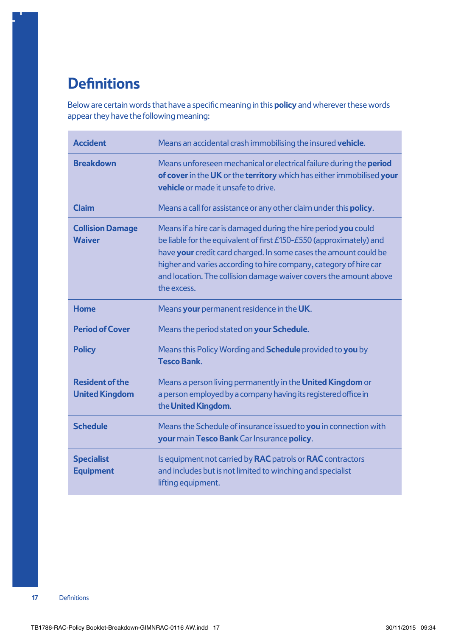### **Definitions**

Below are certain words that have a specific meaning in this **policy** and wherever these words appear they have the following meaning:

| <b>Accident</b>                                 | Means an accidental crash immobilising the insured vehicle.                                                                                                                                                                                                                                                                                                         |
|-------------------------------------------------|---------------------------------------------------------------------------------------------------------------------------------------------------------------------------------------------------------------------------------------------------------------------------------------------------------------------------------------------------------------------|
| <b>Breakdown</b>                                | Means unforeseen mechanical or electrical failure during the period<br>of cover in the UK or the territory which has either immobilised your<br><b>vehicle</b> or made it unsafe to drive.                                                                                                                                                                          |
| <b>Claim</b>                                    | Means a call for assistance or any other claim under this <b>policy</b> .                                                                                                                                                                                                                                                                                           |
| <b>Collision Damage</b><br><b>Waiver</b>        | Means if a hire car is damaged during the hire period you could<br>be liable for the equivalent of first £150-£550 (approximately) and<br>have your credit card charged. In some cases the amount could be<br>higher and varies according to hire company, category of hire car<br>and location. The collision damage waiver covers the amount above<br>the excess. |
| Home                                            | Means your permanent residence in the UK.                                                                                                                                                                                                                                                                                                                           |
| <b>Period of Cover</b>                          | Means the period stated on your Schedule.                                                                                                                                                                                                                                                                                                                           |
| <b>Policy</b>                                   | Means this Policy Wording and <b>Schedule</b> provided to you by<br><b>Tesco Bank</b>                                                                                                                                                                                                                                                                               |
| <b>Resident of the</b><br><b>United Kingdom</b> | Means a person living permanently in the United Kingdom or<br>a person employed by a company having its registered office in<br>the United Kingdom.                                                                                                                                                                                                                 |
| <b>Schedule</b>                                 | Means the Schedule of insurance issued to you in connection with<br>your main Tesco Bank Car Insurance policy.                                                                                                                                                                                                                                                      |
| <b>Specialist</b><br><b>Equipment</b>           | Is equipment not carried by RAC patrols or RAC contractors<br>and includes but is not limited to winching and specialist<br>lifting equipment.                                                                                                                                                                                                                      |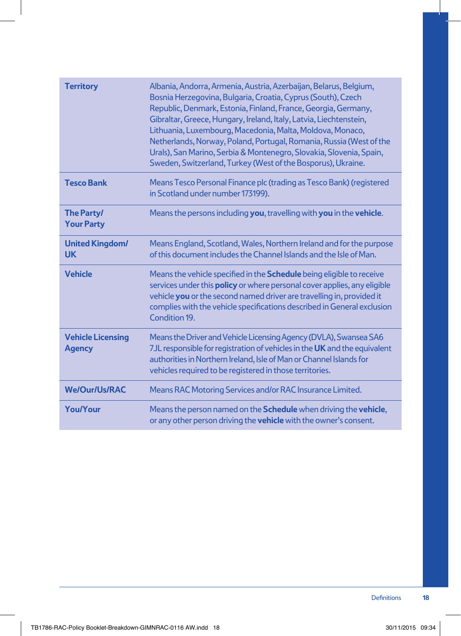| <b>Territory</b>                          | Albania, Andorra, Armenia, Austria, Azerbaijan, Belarus, Belgium,<br>Bosnia Herzegovina, Bulgaria, Croatia, Cyprus (South), Czech<br>Republic, Denmark, Estonia, Finland, France, Georgia, Germany,<br>Gibraltar, Greece, Hungary, Ireland, Italy, Latvia, Liechtenstein,<br>Lithuania, Luxembourg, Macedonia, Malta, Moldova, Monaco,<br>Netherlands, Norway, Poland, Portugal, Romania, Russia (West of the<br>Urals), San Marino, Serbia & Montenegro, Slovakia, Slovenia, Spain,<br>Sweden, Switzerland, Turkey (West of the Bosporus), Ukraine. |
|-------------------------------------------|------------------------------------------------------------------------------------------------------------------------------------------------------------------------------------------------------------------------------------------------------------------------------------------------------------------------------------------------------------------------------------------------------------------------------------------------------------------------------------------------------------------------------------------------------|
| <b>Tesco Bank</b>                         | Means Tesco Personal Finance plc (trading as Tesco Bank) (registered<br>in Scotland under number 173199).                                                                                                                                                                                                                                                                                                                                                                                                                                            |
| <b>The Party/</b><br><b>Your Party</b>    | Means the persons including you, travelling with you in the vehicle.                                                                                                                                                                                                                                                                                                                                                                                                                                                                                 |
| <b>United Kingdom/</b><br><b>UK</b>       | Means England, Scotland, Wales, Northern Ireland and for the purpose<br>of this document includes the Channel Islands and the Isle of Man.                                                                                                                                                                                                                                                                                                                                                                                                           |
| <b>Vehicle</b>                            | Means the vehicle specified in the Schedule being eligible to receive<br>services under this <b>policy</b> or where personal cover applies, any eligible<br>vehicle you or the second named driver are travelling in, provided it<br>complies with the vehicle specifications described in General exclusion<br>Condition 19.                                                                                                                                                                                                                        |
| <b>Vehicle Licensing</b><br><b>Agency</b> | Means the Driver and Vehicle Licensing Agency (DVLA), Swansea SA6<br>7JL responsible for registration of vehicles in the UK and the equivalent<br>authorities in Northern Ireland, Isle of Man or Channel Islands for<br>vehicles required to be registered in those territories.                                                                                                                                                                                                                                                                    |
| <b>We/Our/Us/RAC</b>                      | Means RAC Motoring Services and/or RAC Insurance Limited.                                                                                                                                                                                                                                                                                                                                                                                                                                                                                            |
| <b>You/Your</b>                           | Means the person named on the Schedule when driving the vehicle,<br>or any other person driving the <b>vehicle</b> with the owner's consent.                                                                                                                                                                                                                                                                                                                                                                                                         |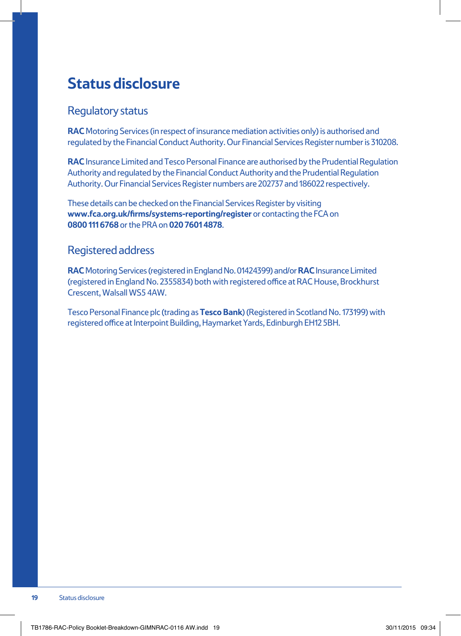### **Status disclosure**

#### Regulatory status

**RAC** Motoring Services (in respect of insurance mediation activities only) is authorised and regulated by the Financial Conduct Authority. Our Financial Services Register number is 310208.

**RAC** Insurance Limited and Tesco Personal Finance are authorised by the Prudential Regulation Authority and regulated by the Financial Conduct Authority and the Prudential Regulation Authority. Our Financial Services Register numbers are 202737 and 186022 respectively.

These details can be checked on the Financial Services Register by visiting **www.fca.org.uk/firms/systems-reporting/register** or contacting the FCA on **0800 111 6768** or the PRA on **020 7601 4878**.

#### Registered address

**RAC** Motoring Services (registered in England No. 01424399) and/or **RAC** Insurance Limited (registered in England No. 2355834) both with registered office at RAC House, Brockhurst Crescent, Walsall WS5 4AW.

Tesco Personal Finance plc (trading as **Tesco Bank**) (Registered in Scotland No. 173199) with registered office at Interpoint Building, Haymarket Yards, Edinburgh EH12 5BH.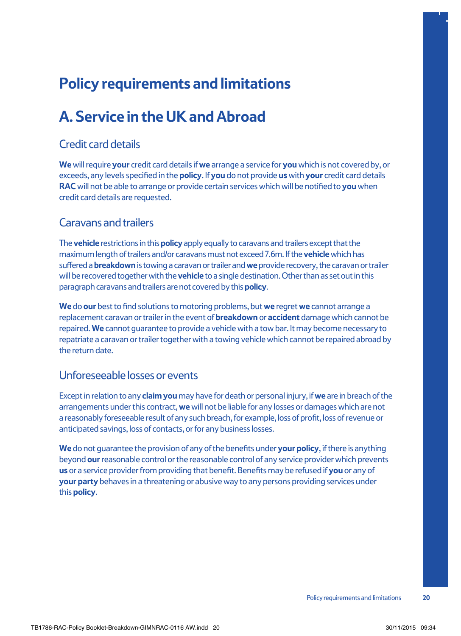### **Policy requirements and limitations**

### **A. Service in the UK and Abroad**

#### Credit card details

**We** will require **your** credit card details if **we** arrange a service for **you** which is not covered by, or exceeds, any levels specified in the **policy**. If **you** do not provide **us** with **your** credit card details **RAC** will not be able to arrange or provide certain services which will be notified to **you** when credit card details are requested.

#### Caravans and trailers

The **vehicle** restrictions in this **policy** apply equally to caravans and trailers except that the maximum length of trailers and/or caravans must not exceed 7.6m. If the **vehicle** which has suffered a **breakdown** is towing a caravan or trailer and **we** provide recovery, the caravan or trailer will be recovered together with the **vehicle** to a single destination. Other than as set out in this paragraph caravans and trailers are not covered by this **policy**.

**We** do **our** best to find solutions to motoring problems, but **we** regret **we** cannot arrange a replacement caravan or trailer in the event of **breakdown** or **accident** damage which cannot be repaired. **We** cannot guarantee to provide a vehicle with a tow bar. It may become necessary to repatriate a caravan or trailer together with a towing vehicle which cannot be repaired abroad by the return date.

#### Unforeseeable losses or events

Except in relation to any **claim you** may have for death or personal injury, if **we** are in breach of the arrangements under this contract, **we** will not be liable for any losses or damages which are not a reasonably foreseeable result of any such breach, for example, loss of profit, loss of revenue or anticipated savings, loss of contacts, or for any business losses.

**We** do not guarantee the provision of any of the benefits under **your policy**, if there is anything beyond **our** reasonable control or the reasonable control of any service provider which prevents **us** or a service provider from providing that benefit. Benefits may be refused if **you** or any of **your party** behaves in a threatening or abusive way to any persons providing services under this **policy**.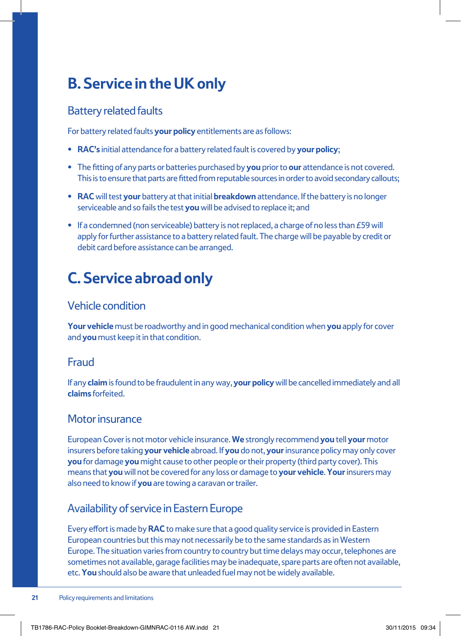### **B. Service in the UK only**

#### Battery related faults

For battery related faults **your policy** entitlements are as follows:

- **• RAC's** initial attendance for a battery related fault is covered by **your policy**;
- **•** The fitting of any parts or batteries purchased by **you** prior to **our** attendance is not covered. This is to ensure that parts are fitted from reputable sources in order to avoid secondary callouts;
- **• RAC** will test **your** battery at that initial **breakdown** attendance. If the battery is no longer serviceable and so fails the test **you** will be advised to replace it; and
- **•** If a condemned (non serviceable) battery is not replaced, a charge of no less than £59 will apply for further assistance to a battery related fault. The charge will be payable by credit or debit card before assistance can be arranged.

### **C. Service abroad only**

#### Vehicle condition

**Your vehicle** must be roadworthy and in good mechanical condition when **you** apply for cover and **you** must keep it in that condition.

#### Fraud

If any **claim** is found to be fraudulent in any way, **your policy** will be cancelled immediately and all **claims** forfeited.

#### Motor insurance

European Cover is not motor vehicle insurance. **We** strongly recommend **you** tell **your** motor insurers before taking **your vehicle** abroad. If **you** do not, **your** insurance policy may only cover **you** for damage **you** might cause to other people or their property (third party cover). This means that **you** will not be covered for any loss or damage to **your vehicle**. **Your** insurers may also need to know if **you** are towing a caravan or trailer.

#### Availability of service in Eastern Europe

Every effort is made by **RAC** to make sure that a good quality service is provided in Eastern European countries but this may not necessarily be to the same standards as in Western Europe. The situation varies from country to country but time delays may occur, telephones are sometimes not available, garage facilities may be inadequate, spare parts are often not available, etc. **You** should also be aware that unleaded fuel may not be widely available.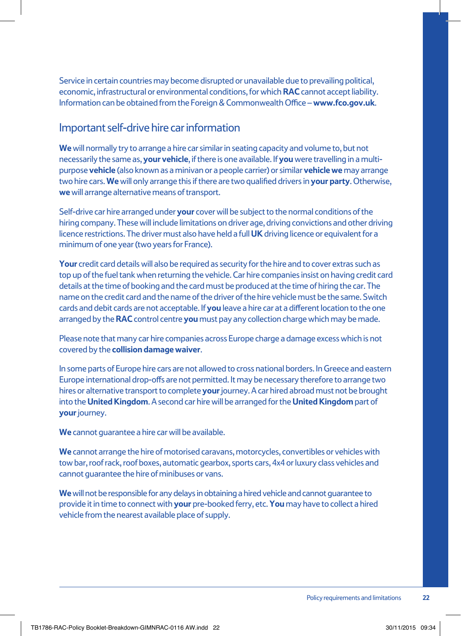Service in certain countries may become disrupted or unavailable due to prevailing political, economic, infrastructural or environmental conditions, for which **RAC** cannot accept liability. Information can be obtained from the Foreign & Commonwealth Office – **www.fco.gov.uk**.

#### Important self-drive hire car information

**We** will normally try to arrange a hire car similar in seating capacity and volume to, but not necessarily the same as, **your vehicle**, if there is one available. If **you** were travelling in a multipurpose **vehicle** (also known as a minivan or a people carrier) or similar **vehicle we** may arrange two hire cars. **We** will only arrange this if there are two qualified drivers in **your party**. Otherwise, **we** will arrange alternative means of transport.

Self-drive car hire arranged under **your** cover will be subject to the normal conditions of the hiring company. These will include limitations on driver age, driving convictions and other driving licence restrictions. The driver must also have held a full **UK** driving licence or equivalent for a minimum of one year (two years for France).

**Your** credit card details will also be required as security for the hire and to cover extras such as top up of the fuel tank when returning the vehicle. Car hire companies insist on having credit card details at the time of booking and the card must be produced at the time of hiring the car. The name on the credit card and the name of the driver of the hire vehicle must be the same. Switch cards and debit cards are not acceptable. If **you** leave a hire car at a different location to the one arranged by the **RAC** control centre **you** must pay any collection charge which may be made.

Please note that many car hire companies across Europe charge a damage excess which is not covered by the **collision damage waiver**.

In some parts of Europe hire cars are not allowed to cross national borders. In Greece and eastern Europe international drop-offs are not permitted. It may be necessary therefore to arrange two hires or alternative transport to complete **your** journey. A car hired abroad must not be brought into the **United Kingdom**. A second car hire will be arranged for the **United Kingdom** part of **your** journey.

**We** cannot guarantee a hire car will be available.

**We** cannot arrange the hire of motorised caravans, motorcycles, convertibles or vehicles with tow bar, roof rack, roof boxes, automatic gearbox, sports cars, 4x4 or luxury class vehicles and cannot guarantee the hire of minibuses or vans.

**We** will not be responsible for any delays in obtaining a hired vehicle and cannot guarantee to provide it in time to connect with **your** pre-booked ferry, etc. **You** may have to collect a hired vehicle from the nearest available place of supply.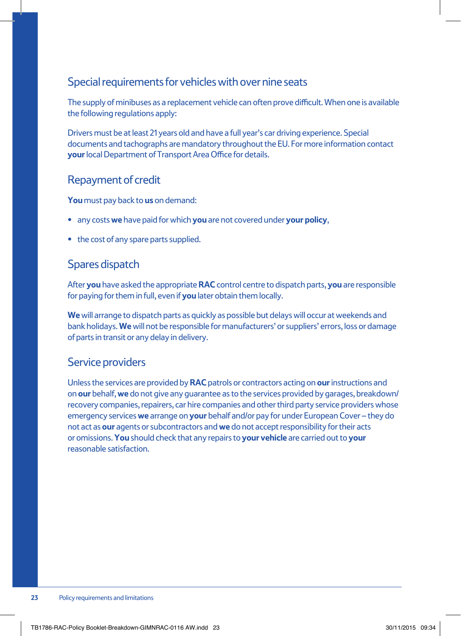#### Special requirements for vehicles with over nine seats

The supply of minibuses as a replacement vehicle can often prove difficult. When one is available the following regulations apply:

Drivers must be at least 21 years old and have a full year's car driving experience. Special documents and tachographs are mandatory throughout the EU. For more information contact **your** local Department of Transport Area Office for details.

#### Repayment of credit

**You** must pay back to **us** on demand:

- **•** any costs **we** have paid for which **you** are not covered under **your policy**,
- **•** the cost of any spare parts supplied.

#### Spares dispatch

After **you** have asked the appropriate **RAC** control centre to dispatch parts, **you** are responsible for paying for them in full, even if **you** later obtain them locally.

**We** will arrange to dispatch parts as quickly as possible but delays will occur at weekends and bank holidays. **We** will not be responsible for manufacturers' or suppliers' errors, loss or damage of parts in transit or any delay in delivery.

#### Service providers

Unless the services are provided by **RAC** patrols or contractors acting on **our** instructions and on **our** behalf, **we** do not give any guarantee as to the services provided by garages, breakdown/ recovery companies, repairers, car hire companies and other third party service providers whose emergency services **we** arrange on **your** behalf and/or pay for under European Cover – they do not act as **our** agents or subcontractors and **we** do not accept responsibility for their acts or omissions. **You** should check that any repairs to **your vehicle** are carried out to **your** reasonable satisfaction.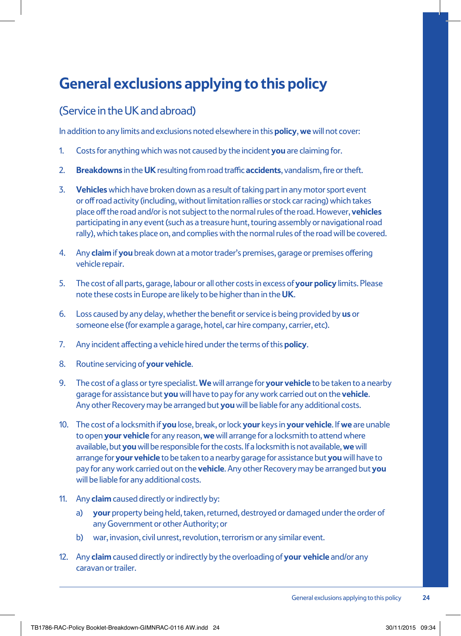### **General exclusions applying to this policy**

#### (Service in the UK and abroad)

In addition to any limits and exclusions noted elsewhere in this **policy**, **we** will not cover:

- 1. Costs for anything which was not caused by the incident **you** are claiming for.
- 2. **Breakdowns** in the **UK** resulting from road traffic **accidents**, vandalism, fire or theft.
- 3. **Vehicles** which have broken down as a result of taking part in any motor sport event or off road activity (including, without limitation rallies or stock car racing) which takes place off the road and/or is not subject to the normal rules of the road. However, **vehicles** participating in any event (such as a treasure hunt, touring assembly or navigational road rally), which takes place on, and complies with the normal rules of the road will be covered.
- 4. Any **claim** if **you** break down at a motor trader's premises, garage or premises offering vehicle repair.
- 5. The cost of all parts, garage, labour or all other costs in excess of **your policy** limits. Please note these costs in Europe are likely to be higher than in the **UK**.
- 6. Loss caused by any delay, whether the benefit or service is being provided by **us** or someone else (for example a garage, hotel, car hire company, carrier, etc).
- 7. Any incident affecting a vehicle hired under the terms of this **policy**.
- 8. Routine servicing of **your vehicle**.
- 9. The cost of a glass or tyre specialist. **We** will arrange for **your vehicle** to be taken to a nearby garage for assistance but **you** will have to pay for any work carried out on the **vehicle**. Any other Recovery may be arranged but **you** will be liable for any additional costs.
- 10. The cost of a locksmith if **you** lose, break, or lock **your** keys in **your vehicle**. If **we** are unable to open **your vehicle** for any reason, **we** will arrange for a locksmith to attend where available, but **you** will be responsible for the costs. If a locksmith is not available, **we** will arrange for **your vehicle** to be taken to a nearby garage for assistance but **you** will have to pay for any work carried out on the **vehicle**. Any other Recovery may be arranged but **you** will be liable for any additional costs.
- 11. Any **claim** caused directly or indirectly by:
	- a) **your** property being held, taken, returned, destroyed or damaged under the order of any Government or other Authority; or
	- b) war, invasion, civil unrest, revolution, terrorism or any similar event.
- 12. Any **claim** caused directly or indirectly by the overloading of **your vehicle** and/or any caravan or trailer.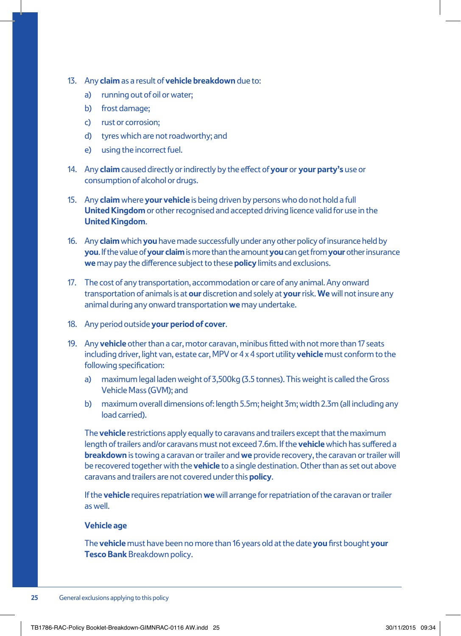- 13. Any **claim** as a result of **vehicle breakdown** due to:
	- a) running out of oil or water;
	- b) frost damage:
	- c) rust or corrosion;
	- d) tyres which are not roadworthy; and
	- e) using the incorrect fuel.
- 14. Any **claim** caused directly or indirectly by the effect of **your** or **your party's** use or consumption of alcohol or drugs.
- 15. Any **claim** where **your vehicle** is being driven by persons who do not hold a full **United Kingdom** or other recognised and accepted driving licence valid for use in the **United Kingdom**.
- 16. Any **claim** which **you** have made successfully under any other policy of insurance held by **you**. If the value of **your claim** is more than the amount **you** can get from **your** other insurance **we** may pay the difference subject to these **policy** limits and exclusions.
- 17. The cost of any transportation, accommodation or care of any animal. Any onward transportation of animals is at **our** discretion and solely at **your** risk. **We** will not insure any animal during any onward transportation **we** may undertake.
- 18. Any period outside **your period of cover**.
- 19. Any **vehicle** other than a car, motor caravan, minibus fitted with not more than 17 seats including driver, light van, estate car, MPV or 4 x 4 sport utility **vehicle** must conform to the following specification:
	- a) maximum legal laden weight of 3,500kg (3.5 tonnes). This weight is called the Gross Vehicle Mass (GVM); and
	- b) maximum overall dimensions of: length 5.5m; height 3m; width 2.3m (all including any load carried).

The **vehicle** restrictions apply equally to caravans and trailers except that the maximum length of trailers and/or caravans must not exceed 7.6m. If the **vehicle** which has suffered a **breakdown** is towing a caravan or trailer and **we** provide recovery, the caravan or trailer will be recovered together with the **vehicle** to a single destination. Other than as set out above caravans and trailers are not covered under this **policy**.

If the **vehicle** requires repatriation **we** will arrange for repatriation of the caravan or trailer as well.

#### **Vehicle age**

The **vehicle** must have been no more than 16 years old at the date **you** first bought **your Tesco Bank** Breakdown policy.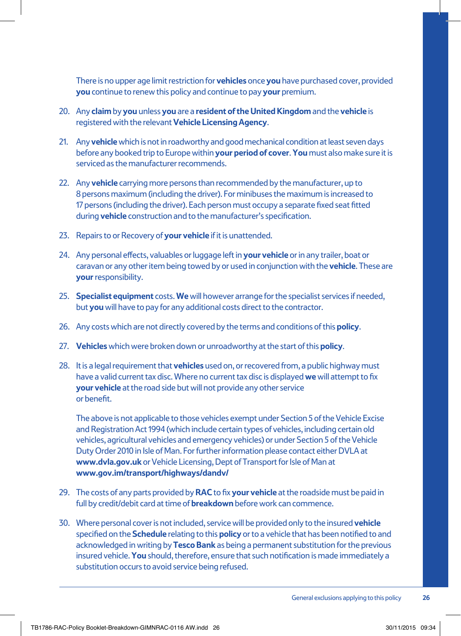There is no upper age limit restriction for **vehicles** once **you** have purchased cover, provided **you** continue to renew this policy and continue to pay **your** premium.

- 20. Any **claim** by **you** unless **you** are a **resident of the United Kingdom** and the **vehicle** is registered with the relevant **Vehicle Licensing Agency**.
- 21. Any **vehicle** which is not in roadworthy and good mechanical condition at least seven days before any booked trip to Europe within **your period of cover**. **You** must also make sure it is serviced as the manufacturer recommends.
- 22. Any **vehicle** carrying more persons than recommended by the manufacturer, up to 8 persons maximum (including the driver). For minibuses the maximum is increased to 17 persons (including the driver). Each person must occupy a separate fixed seat fitted during **vehicle** construction and to the manufacturer's specification.
- 23. Repairs to or Recovery of **your vehicle** if it is unattended.
- 24. Any personal effects, valuables or luggage left in **your vehicle** or in any trailer, boat or caravan or any other item being towed by or used in conjunction with the **vehicle**. These are **your** responsibility.
- 25. **Specialist equipment** costs. **We** will however arrange for the specialist services if needed, but **you** will have to pay for any additional costs direct to the contractor.
- 26. Any costs which are not directly covered by the terms and conditions of this **policy**.
- 27. **Vehicles** which were broken down or unroadworthy at the start of this **policy**.
- 28. It is a legal requirement that **vehicles** used on, or recovered from, a public highway must have a valid current tax disc. Where no current tax disc is displayed **we** will attempt to fix **your vehicle** at the road side but will not provide any other service or benefit.

The above is not applicable to those vehicles exempt under Section 5 of the Vehicle Excise and Registration Act 1994 (which include certain types of vehicles, including certain old vehicles, agricultural vehicles and emergency vehicles) or under Section 5 of the Vehicle Duty Order 2010 in Isle of Man. For further information please contact either DVLA at **www.dvla.gov.uk** or Vehicle Licensing, Dept of Transport for Isle of Man at **www.gov.im/transport/highways/dandv/**

- 29. The costs of any parts provided by **RAC** to fix **your vehicle** at the roadside must be paid in full by credit/debit card at time of **breakdown** before work can commence.
- 30. Where personal cover is not included, service will be provided only to the insured **vehicle** specified on the **Schedule** relating to this **policy** or to a vehicle that has been notified to and acknowledged in writing by **Tesco Bank** as being a permanent substitution for the previous insured vehicle. **You** should, therefore, ensure that such notification is made immediately a substitution occurs to avoid service being refused.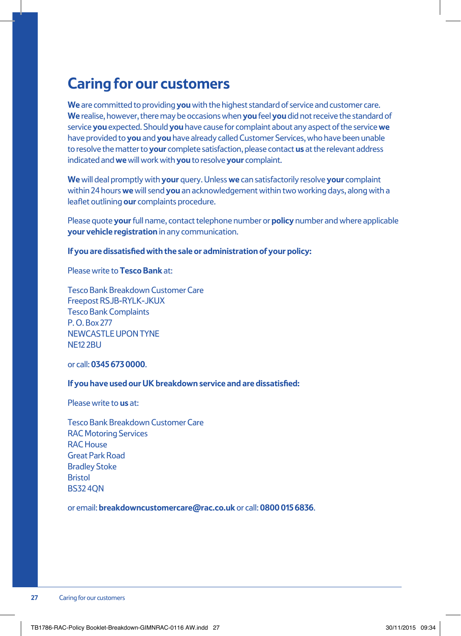### **Caring for our customers**

**We** are committed to providing **you** with the highest standard of service and customer care. **We** realise, however, there may be occasions when **you** feel **you** did not receive the standard of service **you** expected. Should **you** have cause for complaint about any aspect of the service **we** have provided to **you** and **you** have already called Customer Services, who have been unable to resolve the matter to **your** complete satisfaction, please contact **us** at the relevant address indicated and **we** will work with **you** to resolve **your** complaint.

**We** will deal promptly with **your** query. Unless **we** can satisfactorily resolve **your** complaint within 24 hours **we** will send **you** an acknowledgement within two working days, along with a leaflet outlining **our** complaints procedure.

Please quote **your** full name, contact telephone number or **policy** number and where applicable **your vehicle registration** in any communication.

**If you are dissatisfied with the sale or administration of your policy:**

Please write to **Tesco Bank** at:

Tesco Bank Breakdown Customer Care Freepost RSJB-RYLK-JKUX Tesco Bank Complaints P. O. Box 277 NEWCASTLE UPON TYNE **NF12 2BU** 

or call: **0345 673 0000**.

#### **If you have used our UK breakdown service and are dissatisfied:**

Please write to **us** at:

Tesco Bank Breakdown Customer Care RAC Motoring Services RAC House Great Park Road Bradley Stoke **Bristol** BS32 4QN

or email: **breakdowncustomercare@rac.co.uk** or call: **0800 015 6836**.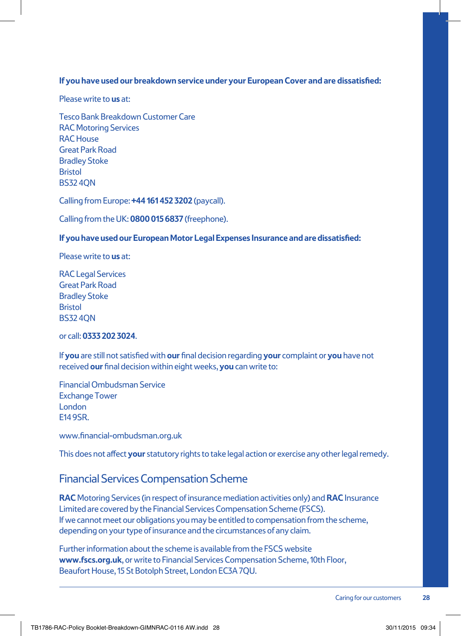#### **If you have used our breakdown service under your European Cover and are dissatisfied:**

Please write to **us** at:

Tesco Bank Breakdown Customer Care RAC Motoring Services RAC House Great Park Road Bradley Stoke **Bristol** BS32 4QN

Calling from Europe: **+44 161 452 3202** (paycall).

Calling from the UK: **0800 015 6837** (freephone).

#### **If you have used our European Motor Legal Expenses Insurance and are dissatisfied:**

Please write to **us** at:

RAC Legal Services Great Park Road Bradley Stoke **Bristol** BS32 4QN

or call: **0333 202 3024**.

If **you** are still not satisfied with **our** final decision regarding **your** complaint or **you** have not received **our** final decision within eight weeks, **you** can write to:

Financial Ombudsman Service Exchange Tower London E14 9SR.

www.financial-ombudsman.org.uk

This does not affect **your** statutory rights to take legal action or exercise any other legal remedy.

#### Financial Services Compensation Scheme

**RAC** Motoring Services (in respect of insurance mediation activities only) and **RAC** Insurance Limited are covered by the Financial Services Compensation Scheme (FSCS). If we cannot meet our obligations you may be entitled to compensation from the scheme, depending on your type of insurance and the circumstances of any claim.

Further information about the scheme is available from the FSCS website **www.fscs.org.uk**, or write to Financial Services Compensation Scheme, 10th Floor, Beaufort House, 15 St Botolph Street, London EC3A 7QU.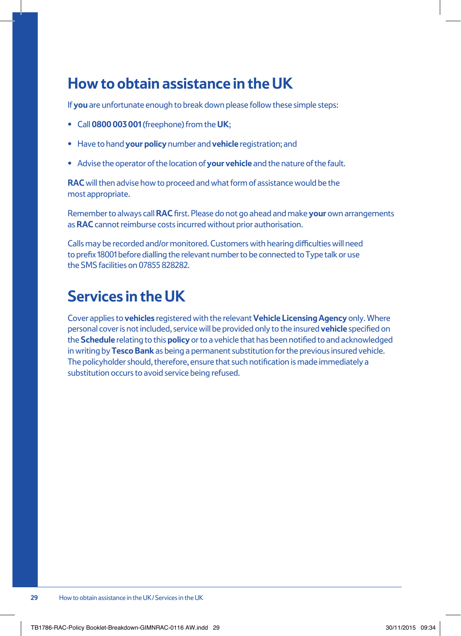### **How to obtain assistance in the UK**

If **you** are unfortunate enough to break down please follow these simple steps:

- **•** Call **0800 003 001** (freephone) from the **UK**;
- **•** Have to hand **your policy** number and **vehicle** registration; and
- **•** Advise the operator of the location of **your vehicle** and the nature of the fault.

**RAC** will then advise how to proceed and what form of assistance would be the most appropriate.

Remember to always call **RAC** first. Please do not go ahead and make **your** own arrangements as **RAC** cannot reimburse costs incurred without prior authorisation.

Calls may be recorded and/or monitored. Customers with hearing difficulties will need to prefix 18001 before dialling the relevant number to be connected to Type talk or use the SMS facilities on 07855 828282.

### **Services in the UK**

Cover applies to **vehicles** registered with the relevant **Vehicle Licensing Agency** only. Where personal cover is not included, service will be provided only to the insured **vehicle** specified on the **Schedule** relating to this **policy** or to a vehicle that has been notified to and acknowledged in writing by **Tesco Bank** as being a permanent substitution for the previous insured vehicle. The policyholder should, therefore, ensure that such notification is made immediately a substitution occurs to avoid service being refused.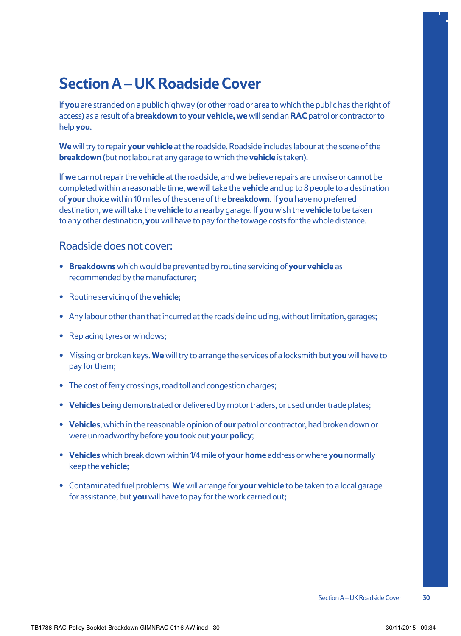### **Section A – UK Roadside Cover**

If **you** are stranded on a public highway (or other road or area to which the public has the right of access) as a result of a **breakdown** to **your vehicle, we** will send an **RAC** patrol or contractor to help **you**.

**We** will try to repair **your vehicle** at the roadside. Roadside includes labour at the scene of the **breakdown** (but not labour at any garage to which the **vehicle** is taken).

If **we** cannot repair the **vehicle** at the roadside, and **we** believe repairs are unwise or cannot be completed within a reasonable time, **we** will take the **vehicle** and up to 8 people to a destination of **your** choice within 10 miles of the scene of the **breakdown**. If **you** have no preferred destination, **we** will take the **vehicle** to a nearby garage. If **you** wish the **vehicle** to be taken to any other destination, **you** will have to pay for the towage costs for the whole distance.

#### Roadside does not cover:

- **• Breakdowns** which would be prevented by routine servicing of **your vehicle** as recommended by the manufacturer;
- **•** Routine servicing of the **vehicle**;
- **•** Any labour other than that incurred at the roadside including, without limitation, garages;
- **•** Replacing tyres or windows;
- **•** Missing or broken keys. **We** will try to arrange the services of a locksmith but **you** will have to pay for them;
- **•** The cost of ferry crossings, road toll and congestion charges;
- **• Vehicles** being demonstrated or delivered by motor traders, or used under trade plates;
- **• Vehicles**, which in the reasonable opinion of **our** patrol or contractor, had broken down or were unroadworthy before **you** took out **your policy**;
- **• Vehicles** which break down within 1/4 mile of **your home** address or where **you** normally keep the **vehicle**;
- **•** Contaminated fuel problems. **We** will arrange for **your vehicle** to be taken to a local garage for assistance, but **you** will have to pay for the work carried out;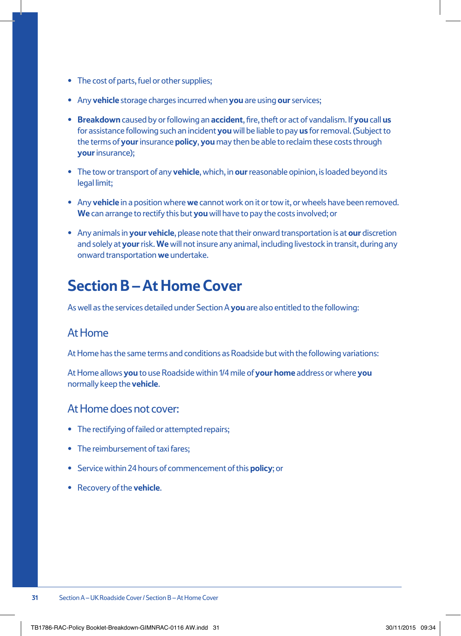- **•** The cost of parts, fuel or other supplies;
- **•** Any **vehicle** storage charges incurred when **you** are using **our** services;
- **• Breakdown** caused by or following an **accident**, fire, theft or act of vandalism. If **you** call **us** for assistance following such an incident **you** will be liable to pay **us** for removal. (Subject to the terms of **your** insurance **policy**, **you** may then be able to reclaim these costs through **your** insurance);
- **•** The tow or transport of any **vehicle**, which, in **our** reasonable opinion, is loaded beyond its legal limit;
- **•** Any **vehicle** in a position where **we** cannot work on it or tow it, or wheels have been removed. **We** can arrange to rectify this but **you** will have to pay the costs involved; or
- **•** Any animals in **your vehicle**, please note that their onward transportation is at **our** discretion and solely at **your** risk. **We** will not insure any animal, including livestock in transit, during any onward transportation **we** undertake.

### **Section B – At Home Cover**

As well as the services detailed under Section A **you** are also entitled to the following:

#### At Home

At Home has the same terms and conditions as Roadside but with the following variations:

At Home allows **you** to use Roadside within 1/4 mile of **your home** address or where **you** normally keep the **vehicle**.

#### At Home does not cover:

- **•** The rectifying of failed or attempted repairs;
- **•** The reimbursement of taxi fares;
- **•** Service within 24 hours of commencement of this **policy**; or
- **•** Recovery of the **vehicle**.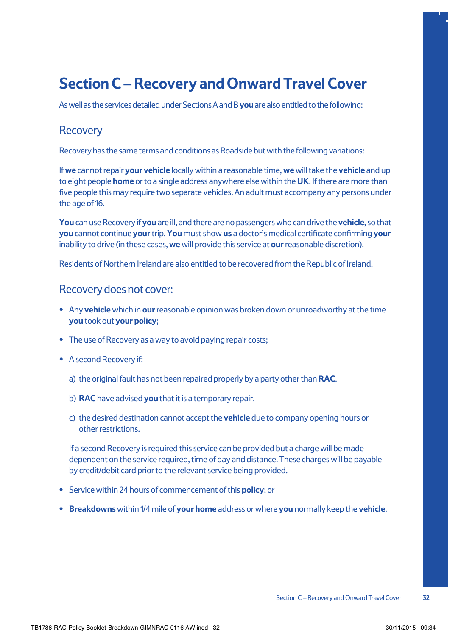### **Section C – Recovery and Onward Travel Cover**

As well as the services detailed under Sections A and B **you** are also entitled to the following:

#### Recovery

Recovery has the same terms and conditions as Roadside but with the following variations:

If **we** cannot repair **your vehicle** locally within a reasonable time, **we** will take the **vehicle** and up to eight people **home** or to a single address anywhere else within the **UK**. If there are more than five people this may require two separate vehicles. An adult must accompany any persons under the age of 16.

**You** can use Recovery if **you** are ill, and there are no passengers who can drive the **vehicle**, so that **you** cannot continue **your** trip. **You** must show **us** a doctor's medical certificate confirming **your** inability to drive (in these cases, **we** will provide this service at **our** reasonable discretion).

Residents of Northern Ireland are also entitled to be recovered from the Republic of Ireland.

#### Recovery does not cover:

- **•** Any **vehicle** which in **our** reasonable opinion was broken down or unroadworthy at the time **you** took out **your policy**;
- **•** The use of Recovery as a way to avoid paying repair costs;
- **•** A second Recovery if:
	- a) the original fault has not been repaired properly by a party other than **RAC**.
	- b) **RAC** have advised **you** that it is a temporary repair.
	- c) the desired destination cannot accept the **vehicle** due to company opening hours or other restrictions.

If a second Recovery is required this service can be provided but a charge will be made dependent on the service required, time of day and distance. These charges will be payable by credit/debit card prior to the relevant service being provided.

- **•** Service within 24 hours of commencement of this **policy**; or
- **• Breakdowns** within 1/4 mile of **your home** address or where **you** normally keep the **vehicle**.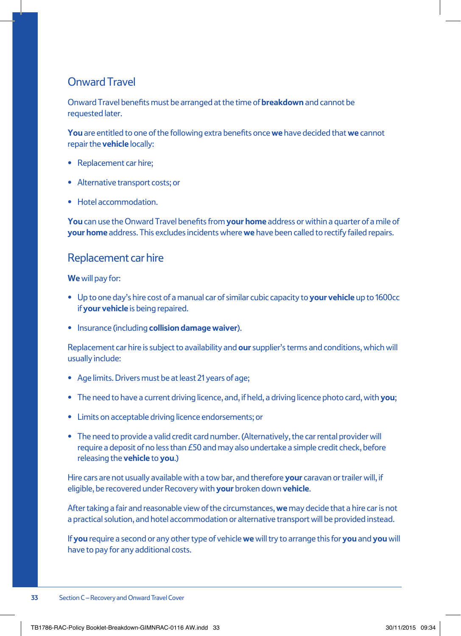#### Onward Travel

Onward Travel benefits must be arranged at the time of **breakdown** and cannot be requested later.

**You** are entitled to one of the following extra benefits once **we** have decided that **we** cannot repair the **vehicle** locally:

- **•** Replacement car hire;
- **•** Alternative transport costs; or
- **•** Hotel accommodation.

**You** can use the Onward Travel benefits from **your home** address or within a quarter of a mile of **your home** address. This excludes incidents where **we** have been called to rectify failed repairs.

#### Replacement car hire

#### **We** will pay for:

- **•** Up to one day's hire cost of a manual car of similar cubic capacity to **your vehicle** up to 1600cc if **your vehicle** is being repaired.
- **•** Insurance (including **collision damage waiver**).

Replacement car hire is subject to availability and **our** supplier's terms and conditions, which will usually include:

- **•** Age limits. Drivers must be at least 21 years of age;
- **•** The need to have a current driving licence, and, if held, a driving licence photo card, with **you**;
- **•** Limits on acceptable driving licence endorsements; or
- **•** The need to provide a valid credit card number. (Alternatively, the car rental provider will require a deposit of no less than £50 and may also undertake a simple credit check, before releasing the **vehicle** to **you**.)

Hire cars are not usually available with a tow bar, and therefore **your** caravan or trailer will, if eligible, be recovered under Recovery with **your** broken down **vehicle**.

After taking a fair and reasonable view of the circumstances, **we** may decide that a hire car is not a practical solution, and hotel accommodation or alternative transport will be provided instead.

If **you** require a second or any other type of vehicle **we** will try to arrange this for **you** and **you** will have to pay for any additional costs.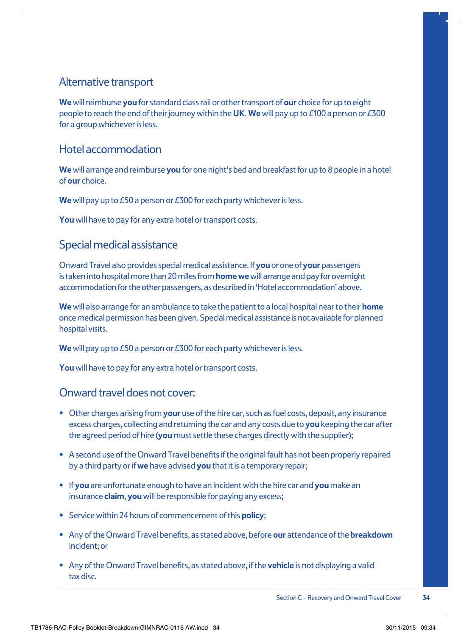#### Alternative transport

**We** will reimburse **you** for standard class rail or other transport of **our** choice for up to eight people to reach the end of their journey within the **UK**. **We** will pay up to £100 a person or £300 for a group whichever is less.

#### Hotel accommodation

**We** will arrange and reimburse **you** for one night's bed and breakfast for up to 8 people in a hotel of **our** choice.

**We** will pay up to £50 a person or £300 for each party whichever is less.

**You** will have to pay for any extra hotel or transport costs.

#### Special medical assistance

Onward Travel also provides special medical assistance. If **you** or one of **your** passengers is taken into hospital more than 20 miles from **homewe** will arrange and pay for overnight accommodation for the other passengers, as described in 'Hotel accommodation' above.

**We** will also arrange for an ambulance to take the patient to a local hospital near to their **home** once medical permission has been given. Special medical assistance is not available for planned hospital visits.

**We** will pay up to £50 a person or £300 for each party whichever is less.

**You** will have to pay for any extra hotel or transport costs.

#### Onward travel does not cover:

- **•** Other charges arising from **your** use of the hire car, such as fuel costs, deposit, any insurance excess charges, collecting and returning the car and any costs due to **you** keeping the car after the agreed period of hire (**you** must settle these charges directly with the supplier);
- **•** A second use of the Onward Travel benefits if the original fault has not been properly repaired by a third party or if **we** have advised **you** that it is a temporary repair;
- **•** If **you** are unfortunate enough to have an incident with the hire car and **you** make an insurance **claim**, **you** will be responsible for paying any excess;
- **•** Service within 24 hours of commencement of this **policy**;
- **•** Any of the Onward Travel benefits, as stated above, before **our** attendance of the **breakdown** incident; or
- **•** Any of the Onward Travel benefits, as stated above, if the **vehicle** is not displaying a valid tax disc.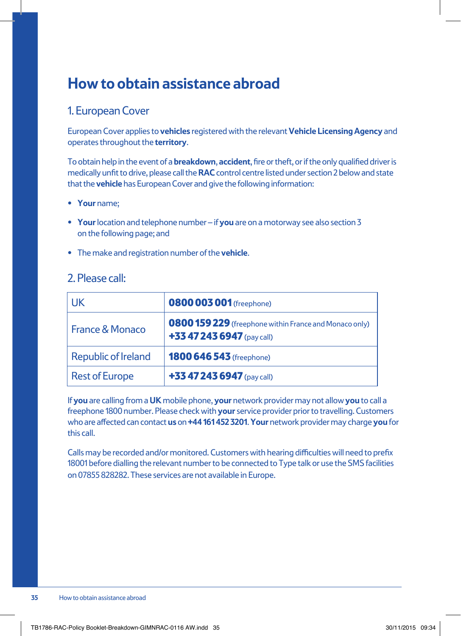### **How to obtain assistance abroad**

#### 1. European Cover

European Cover applies to **vehicles** registered with the relevant **Vehicle Licensing Agency** and operates throughout the **territory**.

To obtain help in the event of a **breakdown**, **accident**, fire or theft, or if the only qualified driver is medically unfit to drive, please call the **RAC** control centre listed under section 2 below and state that the **vehicle** has European Cover and give the following information:

- **• Your** name;
- **• Your** location and telephone number if **you** are on a motorway see also section 3 on the following page; and
- **•** The make and registration number of the **vehicle**.

#### 2. Please call:

| UK                    | <b>0800 003 001</b> (freephone)                                                      |  |
|-----------------------|--------------------------------------------------------------------------------------|--|
| France & Monaco       | 0800 159 229 (freephone within France and Monaco only)<br>+33 47 243 6947 (pay call) |  |
| Republic of Ireland   | <b>1800 646 543</b> (freephone)                                                      |  |
| <b>Rest of Europe</b> | +33 47 243 6947 (pay call)                                                           |  |

If **you** are calling from a **UK** mobile phone, **your** network provider may not allow **you** to call a freephone 1800 number. Please check with **your** service provider prior to travelling. Customers who are affected can contact **us** on **+44 161 452 3201**. **Your** network provider may charge **you** for this call.

Calls may be recorded and/or monitored. Customers with hearing difficulties will need to prefix 18001 before dialling the relevant number to be connected to Type talk or use the SMS facilities on 07855 828282. These services are not available in Europe.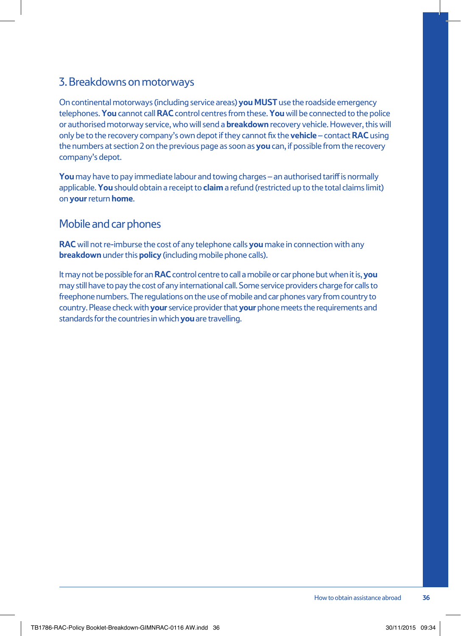#### 3. Breakdowns on motorways

On continental motorways (including service areas) **you MUST** use the roadside emergency telephones. **You** cannot call **RAC** control centres from these. **You** will be connected to the police or authorised motorway service, who will send a **breakdown** recovery vehicle. However, this will only be to the recovery company's own depot if they cannot fix the **vehicle** – contact **RAC** using the numbers at section 2 on the previous page as soon as **you** can, if possible from the recovery company's depot.

**You** may have to pay immediate labour and towing charges – an authorised tariff is normally applicable. **You** should obtain a receipt to **claim** a refund (restricted up to the total claims limit) on **your** return **home**.

#### Mobile and car phones

**RAC** will not re-imburse the cost of any telephone calls **you** make in connection with any **breakdown** under this **policy** (including mobile phone calls).

It may not be possible for an **RAC** control centre to call a mobile or car phone but when it is, **you** may still have to pay the cost of any international call. Some service providers charge for calls to freephone numbers. The regulations on the use of mobile and car phones vary from country to country. Please check with **your** service provider that **your** phone meets the requirements and standards for the countries in which **you** are travelling.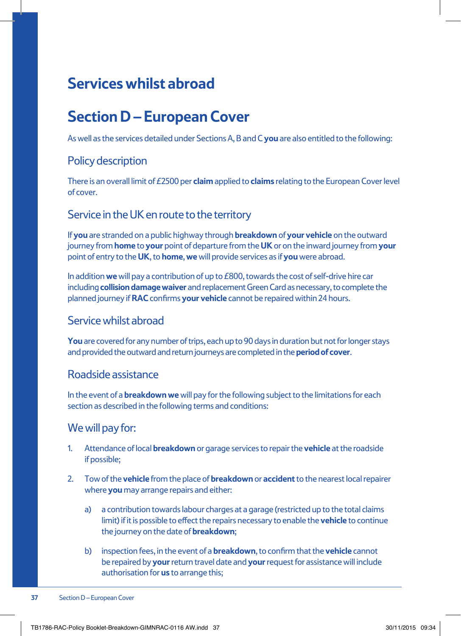### **Services whilst abroad**

### **Section D – European Cover**

As well as the services detailed under Sections A, B and C **you** are also entitled to the following:

#### Policy description

There is an overall limit of £2500 per **claim** applied to **claims** relating to the European Cover level of cover.

#### Service in the UK en route to the territory

If **you** are stranded on a public highway through **breakdown** of **your vehicle** on the outward journey from **home** to **your** point of departure from the **UK** or on the inward journey from **your** point of entry to the **UK**, to **home**, **we** will provide services as if **you** were abroad.

In addition **we** will pay a contribution of up to £800, towards the cost of self-drive hire car including **collision damage waiver** and replacement Green Card as necessary, to complete the planned journey if **RAC** confirms **your vehicle** cannot be repaired within 24 hours.

#### Service whilst abroad

**You** are covered for any number of trips, each up to 90 days in duration but not for longer stays and provided the outward and return journeys are completed in the **period of cover**.

#### Roadside assistance

In the event of a **breakdown we** will pay for the following subject to the limitations for each section as described in the following terms and conditions:

#### We will pay for:

- 1. Attendance of local **breakdown** or garage services to repair the **vehicle** at the roadside if possible;
- 2. Tow of the **vehicle** from the place of **breakdown** or **accident** to the nearest local repairer where **you** may arrange repairs and either:
	- a) a contribution towards labour charges at a garage (restricted up to the total claims limit) if it is possible to effect the repairs necessary to enable the **vehicle** to continue the journey on the date of **breakdown**;
	- b) inspection fees, in the event of a **breakdown**, to confirm that the **vehicle** cannot be repaired by **your** return travel date and **your** request for assistance will include authorisation for **us** to arrange this;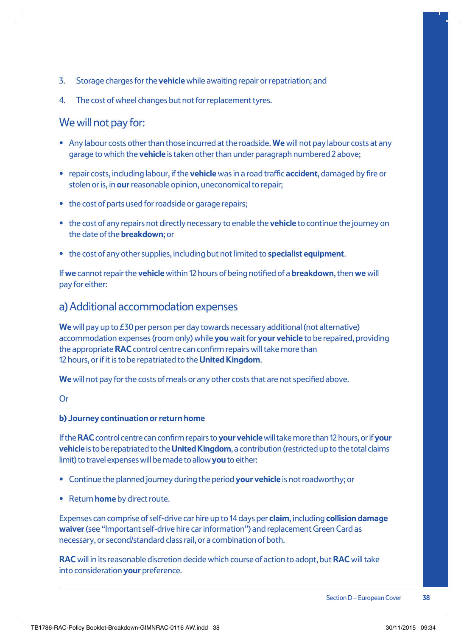- 3. Storage charges for the **vehicle** while awaiting repair or repatriation; and
- 4. The cost of wheel changes but not for replacement tyres.

#### We will not pay for:

- **•** Any labour costs other than those incurred at the roadside. **We** will not pay labour costs at any garage to which the **vehicle** is taken other than under paragraph numbered 2 above;
- **•** repair costs, including labour, if the **vehicle** was in a road traffic **accident**, damaged by fire or stolen or is, in **our** reasonable opinion, uneconomical to repair;
- **•** the cost of parts used for roadside or garage repairs;
- **•** the cost of any repairs not directly necessary to enable the **vehicle** to continue the journey on the date of the **breakdown**; or
- **•** the cost of any other supplies, including but not limited to **specialist equipment**.

If **we** cannot repair the **vehicle** within 12 hours of being notified of a **breakdown**, then **we** will pay for either:

#### a) Additional accommodation expenses

**We** will pay up to £30 per person per day towards necessary additional (not alternative) accommodation expenses (room only) while **you** wait for **your vehicle** to be repaired, providing the appropriate **RAC** control centre can confirm repairs will take more than 12 hours, or if it is to be repatriated to the **United Kingdom**.

**We** will not pay for the costs of meals or any other costs that are not specified above.

#### **b) Journey continuation or return home**

If the **RAC** control centre can confirm repairs to **your vehicle** will take more than 12 hours, or if **your vehicle** is to be repatriated to the **United Kingdom**, a contribution (restricted up to the total claims limit) to travel expenses will be made to allow **you** to either:

- **•** Continue the planned journey during the period **your vehicle** is not roadworthy; or
- **•** Return **home** by direct route.

Expenses can comprise of self-drive car hire up to 14 days per **claim**, including **collision damage waiver** (see "Important self-drive hire car information") and replacement Green Card as necessary, or second/standard class rail, or a combination of both.

**RAC** will in its reasonable discretion decide which course of action to adopt, but **RAC** will take into consideration **your** preference.

Or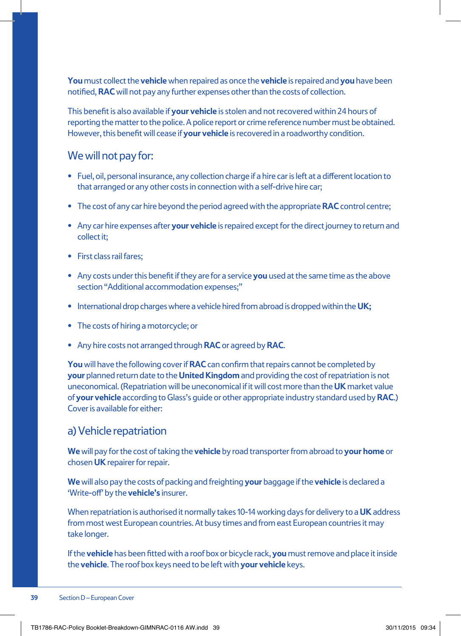**You** must collect the **vehicle** when repaired as once the **vehicle** is repaired and **you** have been notified, **RAC** will not pay any further expenses other than the costs of collection.

This benefit is also available if **your vehicle** is stolen and not recovered within 24 hours of reporting the matter to the police. A police report or crime reference number must be obtained. However, this benefit will cease if **your vehicle** is recovered in a roadworthy condition.

#### We will not pay for:

- **•** Fuel, oil, personal insurance, any collection charge if a hire car is left at a different location to that arranged or any other costs in connection with a self-drive hire car;
- **•** The cost of any car hire beyond the period agreed with the appropriate **RAC** control centre;
- **•** Any car hire expenses after **your vehicle** is repaired except for the direct journey to return and collect it;
- **•** First class rail fares;
- **•** Any costs under this benefit if they are for a service **you** used at the same time as the above section "Additional accommodation expenses;"
- **•** International drop charges where a vehicle hired from abroad is dropped within the **UK;**
- **•** The costs of hiring a motorcycle; or
- **•** Any hire costs not arranged through **RAC** or agreed by **RAC**.

**You** will have the following cover if **RAC** can confirm that repairs cannot be completed by **your** planned return date to the **United Kingdom** and providing the cost of repatriation is not uneconomical. (Repatriation will be uneconomical if it will cost more than the **UK** market value of **your vehicle** according to Glass's guide or other appropriate industry standard used by **RAC**.) Cover is available for either:

#### a) Vehicle repatriation

**We** will pay for the cost of taking the **vehicle** by road transporter from abroad to **your home** or chosen **UK** repairer for repair.

**We** will also pay the costs of packing and freighting **your** baggage if the **vehicle** is declared a 'Write-off' by the **vehicle's** insurer.

When repatriation is authorised it normally takes 10-14 working days for delivery to a **UK** address from most west European countries. At busy times and from east European countries it may take longer.

If the **vehicle** has been fitted with a roof box or bicycle rack, **you** must remove and place it inside the **vehicle**. The roof box keys need to be left with **your vehicle** keys.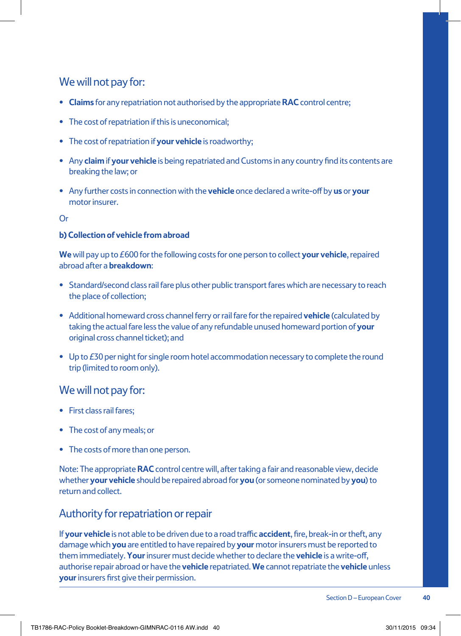#### We will not pay for:

- **• Claims** for any repatriation not authorised by the appropriate **RAC** control centre;
- **•** The cost of repatriation if this is uneconomical;
- **•** The cost of repatriation if **your vehicle** is roadworthy;
- **•** Any **claim** if **your vehicle** is being repatriated and Customs in any country find its contents are breaking the law; or
- **•** Any further costs in connection with the **vehicle** once declared a write-off by **us** or **your** motor insurer.

Or

#### **b) Collection of vehicle from abroad**

**We** will pay up to £600 for the following costs for one person to collect **your vehicle**, repaired abroad after a **breakdown**:

- Standard/second class rail fare plus other public transport fares which are necessary to reach the place of collection;
- **•** Additional homeward cross channel ferry or rail fare for the repaired **vehicle** (calculated by taking the actual fare less the value of any refundable unused homeward portion of **your** original cross channel ticket); and
- Up to £30 per night for single room hotel accommodation necessary to complete the round trip (limited to room only).

#### We will not pay for:

- **•** First class rail fares;
- **•** The cost of any meals; or
- **•** The costs of more than one person.

Note: The appropriate **RAC** control centre will, after taking a fair and reasonable view, decide whether **your vehicle** should be repaired abroad for **you** (or someone nominated by **you**) to return and collect.

#### Authority for repatriation or repair

If **your vehicle** is not able to be driven due to a road traffic **accident**, fire, break-in or theft, any damage which **you** are entitled to have repaired by **your** motor insurers must be reported to them immediately. **Your** insurer must decide whether to declare the **vehicle** is a write-off, authorise repair abroad or have the **vehicle** repatriated. **We** cannot repatriate the **vehicle** unless **your** insurers first give their permission.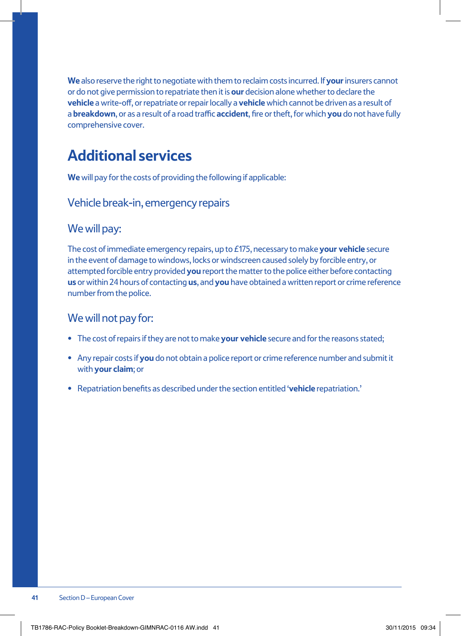**We** also reserve the right to negotiate with them to reclaim costs incurred. If **your** insurers cannot or do not give permission to repatriate then it is **our** decision alone whether to declare the **vehicle** a write-off, or repatriate or repair locally a **vehicle** which cannot be driven as a result of a **breakdown**, or as a result of a road traffic **accident**, fire or theft, for which **you** do not have fully comprehensive cover.

### **Additional services**

**We** will pay for the costs of providing the following if applicable:

#### Vehicle break-in, emergency repairs

#### We will pay:

The cost of immediate emergency repairs, up to £175, necessary to make **your vehicle** secure in the event of damage to windows, locks or windscreen caused solely by forcible entry, or attempted forcible entry provided **you** report the matter to the police either before contacting **us** or within 24 hours of contacting **us**, and **you** have obtained a written report or crime reference number from the police.

#### We will not pay for:

- **•** The cost of repairs if they are not to make **your vehicle** secure and for the reasons stated;
- **•** Any repair costs if **you** do not obtain a police report or crime reference number and submit it with **your claim**; or
- **•** Repatriation benefits as described under the section entitled '**vehicle** repatriation.'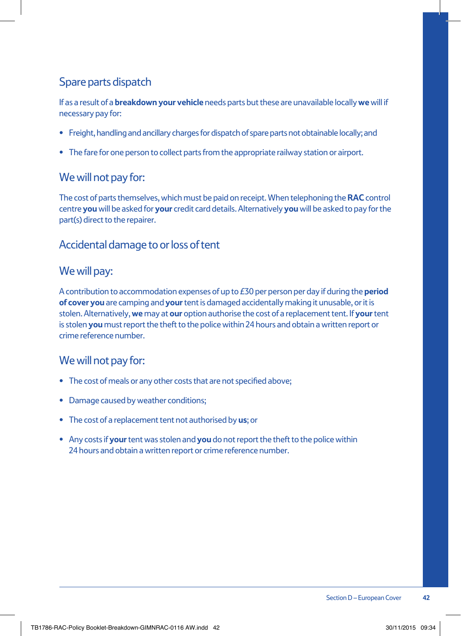#### Spare parts dispatch

If as a result of a **breakdown your vehicle** needs parts but these are unavailable locally **we** will if necessary pay for:

- **•** Freight, handling and ancillary charges for dispatch of spare parts not obtainable locally; and
- **•** The fare for one person to collect parts from the appropriate railway station or airport.

#### We will not pay for:

The cost of parts themselves, which must be paid on receipt. When telephoning the **RAC** control centre **you** will be asked for **your** credit card details. Alternatively **you** will be asked to pay for the part(s) direct to the repairer.

#### Accidental damage to or loss of tent

#### We will pay:

A contribution to accommodation expenses of up to £30 per person per day if during the **period of cover you** are camping and **your** tent is damaged accidentally making it unusable, or it is stolen. Alternatively, **we** may at **our** option authorise the cost of a replacement tent. If **your** tent is stolen **you** must report the theft to the police within 24 hours and obtain a written report or crime reference number.

#### We will not pay for:

- **•** The cost of meals or any other costs that are not specified above;
- **•** Damage caused by weather conditions;
- **•** The cost of a replacement tent not authorised by **us**; or
- **•** Any costs if **your** tent was stolen and **you** do not report the theft to the police within 24 hours and obtain a written report or crime reference number.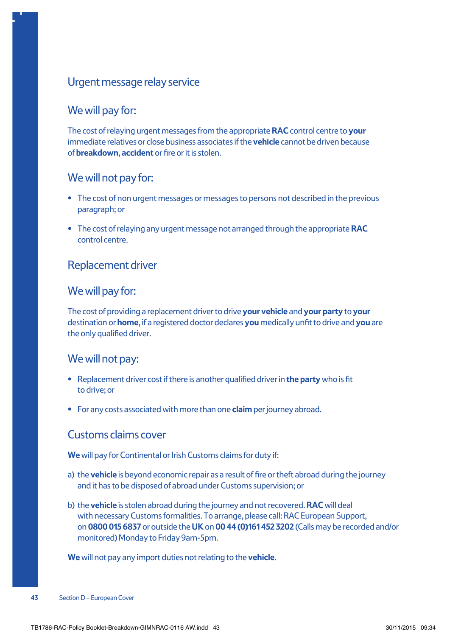#### Urgent message relay service

#### We will pay for:

The cost of relaying urgent messages from the appropriate **RAC** control centre to **your** immediate relatives or close business associates if the **vehicle** cannot be driven because of **breakdown**, **accident** or fire or it is stolen.

#### We will not pay for:

- **•** The cost of non urgent messages or messages to persons not described in the previous paragraph; or
- **•** The cost of relaying any urgent message not arranged through the appropriate **RAC** control centre.

#### Replacement driver

#### We will pay for:

The cost of providing a replacement driver to drive **your vehicle** and **your party** to **your** destination or **home**, if a registered doctor declares **you** medically unfit to drive and **you** are the only qualified driver.

#### We will not pay:

- **•** Replacement driver cost if there is another qualified driver in **the party** who is fit to drive; or
- **•** For any costs associated with more than one **claim** per journey abroad.

#### Customs claims cover

**We** will pay for Continental or Irish Customs claims for duty if:

- a) the **vehicle** is beyond economic repair as a result of fire or theft abroad during the journey and it has to be disposed of abroad under Customs supervision; or
- b) the **vehicle** is stolen abroad during the journey and not recovered. **RAC** will deal with necessary Customs formalities. To arrange, please call: RAC European Support, on **0800 015 6837** or outside the **UK** on **00 44 (0)161 452 3202** (Calls may be recorded and/or monitored) Monday to Friday 9am-5pm.

**We** will not pay any import duties not relating to the **vehicle**.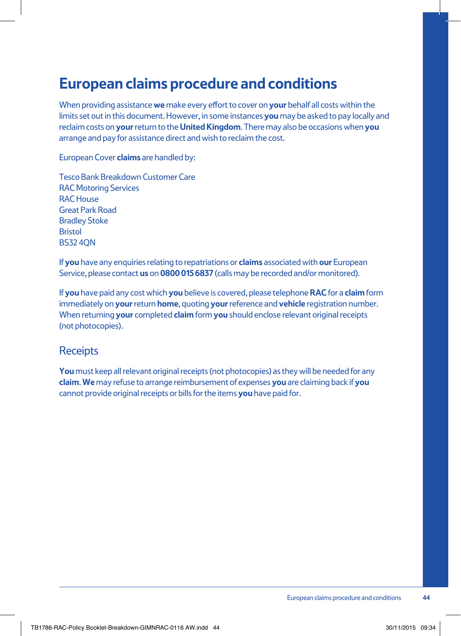### **European claims procedure and conditions**

When providing assistance **we** make every effort to cover on **your** behalf all costs within the limits set out in this document. However, in some instances **you** may be asked to pay locally and reclaim costs on **your** return to the **United Kingdom**. There may also be occasions when **you** arrange and pay for assistance direct and wish to reclaim the cost.

European Cover **claims** are handled by:

Tesco Bank Breakdown Customer Care RAC Motoring Services RAC House Great Park Road Bradley Stoke **Bristol** BS32 4QN

If **you** have any enquiries relating to repatriations or **claims** associated with **our** European Service, please contact **us** on **0800 015 6837** (calls may be recorded and/or monitored).

If **you** have paid any cost which **you** believe is covered, please telephone **RAC** for a **claim** form immediately on **your** return **home**, quoting **your** reference and **vehicle** registration number. When returning **your** completed **claim** form **you** should enclose relevant original receipts (not photocopies).

#### **Receipts**

**You** must keep all relevant original receipts (not photocopies) as they will be needed for any **claim**. **We** may refuse to arrange reimbursement of expenses **you** are claiming back if **you** cannot provide original receipts or bills for the items **you** have paid for.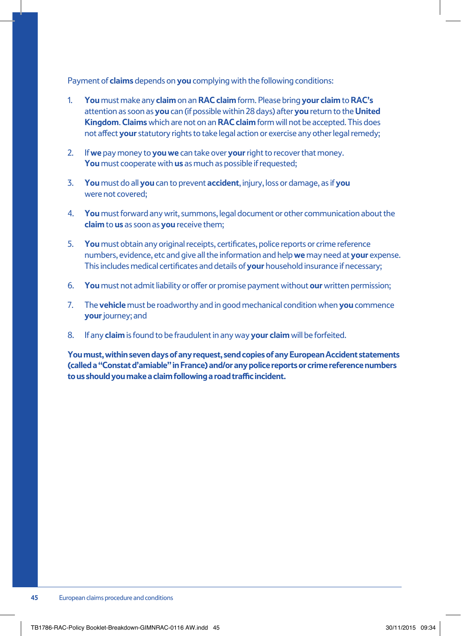Payment of **claims** depends on **you** complying with the following conditions:

- 1. **You** must make any **claim** on an **RAC claim** form. Please bring **your claim** to **RAC's** attention as soon as **you** can (if possible within 28 days) after **you** return to the **United Kingdom**. **Claims** which are not on an **RAC claim** form will not be accepted. This does not affect **your** statutory rights to take legal action or exercise any other legal remedy;
- 2. If **we** pay money to **you we** can take over **your** right to recover that money. **You** must cooperate with **us** as much as possible if requested;
- 3. **You** must do all **you** can to prevent **accident**, injury, loss or damage, as if **you**  were not covered;
- 4. **You** must forward any writ, summons, legal document or other communication about the **claim** to **us** as soon as **you** receive them;
- 5. **You** must obtain any original receipts, certificates, police reports or crime reference numbers, evidence, etc and give all the information and help **we** may need at **your** expense. This includes medical certificates and details of **your** household insurance if necessary;
- 6. **You** must not admit liability or offer or promise payment without **our** written permission;
- 7. The **vehicle** must be roadworthy and in good mechanical condition when **you** commence **your** journey; and
- 8. If any **claim** is found to be fraudulent in any way **your claim** will be forfeited.

**You must, within seven days of any request, send copies of any European Accident statements (called a "Constat d'amiable" in France) and/or any police reports or crime reference numbers to us should you make a claim following a road traffic incident.**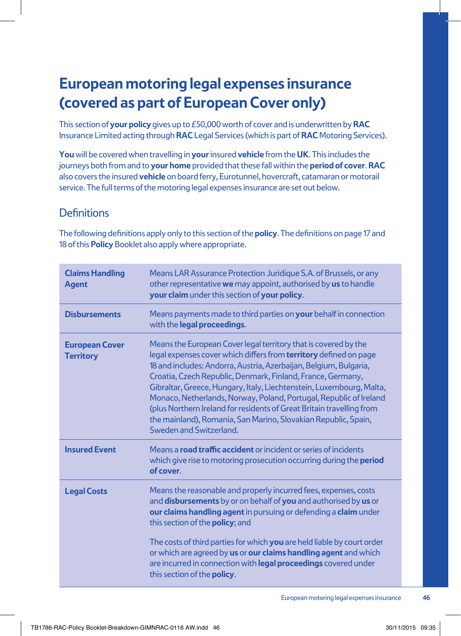### **European motoring legal expenses insurance (covered as part of European Cover only)**

This section of **your policy** gives up to £50,000 worth of cover and is underwritten by **RAC** Insurance Limited acting through **RAC** Legal Services (which is part of **RAC** Motoring Services).

**You** will be covered when travelling in **your** insured **vehicle** from the **UK**. This includes the journeys both from and to **your home** provided that these fall within the **period of cover**. **RAC** also covers the insured **vehicle** on board ferry, Eurotunnel, hovercraft, catamaran or motorail service. The full terms of the motoring legal expenses insurance are set out below.

#### **Definitions**

The following definitions apply only to this section of the **policy**. The definitions on page 17 and 18 of this **Policy** Booklet also apply where appropriate.

| <b>Claims Handling</b><br><b>Agent</b>    | Means LAR Assurance Protection Juridique S.A. of Brussels, or any<br>other representative we may appoint, authorised by us to handle<br>your claim under this section of your policy.                                                                                                                                                                                                                                                                                                                                                                                                               |
|-------------------------------------------|-----------------------------------------------------------------------------------------------------------------------------------------------------------------------------------------------------------------------------------------------------------------------------------------------------------------------------------------------------------------------------------------------------------------------------------------------------------------------------------------------------------------------------------------------------------------------------------------------------|
| <b>Disbursements</b>                      | Means payments made to third parties on your behalf in connection<br>with the legal proceedings.                                                                                                                                                                                                                                                                                                                                                                                                                                                                                                    |
| <b>European Cover</b><br><b>Territory</b> | Means the European Cover legal territory that is covered by the<br>legal expenses cover which differs from <b>territory</b> defined on page<br>18 and includes: Andorra, Austria, Azerbaijan, Belgium, Bulgaria,<br>Croatia, Czech Republic, Denmark, Finland, France, Germany,<br>Gibraltar, Greece, Hungary, Italy, Liechtenstein, Luxembourg, Malta,<br>Monaco, Netherlands, Norway, Poland, Portugal, Republic of Ireland<br>(plus Northern Ireland for residents of Great Britain travelling from<br>the mainland), Romania, San Marino, Slovakian Republic, Spain,<br>Sweden and Switzerland. |
| <b>Insured Event</b>                      | Means a <b>road traffic accident</b> or incident or series of incidents<br>which give rise to motoring prosecution occurring during the <b>period</b><br>of cover.                                                                                                                                                                                                                                                                                                                                                                                                                                  |
| <b>Legal Costs</b>                        | Means the reasonable and properly incurred fees, expenses, costs<br>and disbursements by or on behalf of you and authorised by us or<br>our claims handling agent in pursuing or defending a claim under<br>this section of the policy; and                                                                                                                                                                                                                                                                                                                                                         |
|                                           | The costs of third parties for which you are held liable by court order<br>or which are agreed by us or our claims handling agent and which<br>are incurred in connection with legal proceedings covered under<br>this section of the <b>policy</b> .                                                                                                                                                                                                                                                                                                                                               |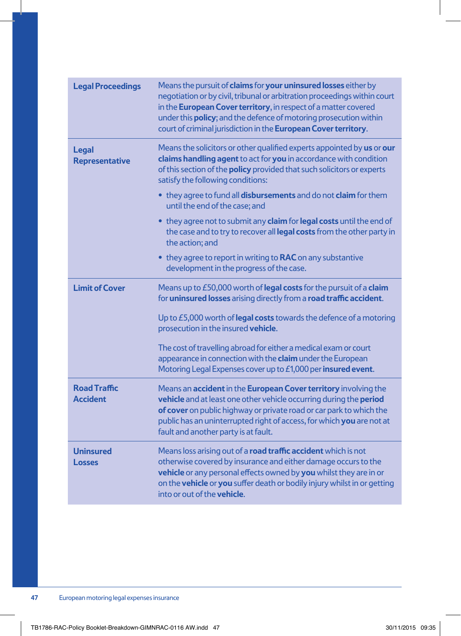| <b>Legal Proceedings</b>               | Means the pursuit of claims for your uninsured losses either by<br>negotiation or by civil, tribunal or arbitration proceedings within court<br>in the European Cover territory, in respect of a matter covered<br>under this <b>policy</b> ; and the defence of motoring prosecution within<br>court of criminal jurisdiction in the European Cover territory. |
|----------------------------------------|-----------------------------------------------------------------------------------------------------------------------------------------------------------------------------------------------------------------------------------------------------------------------------------------------------------------------------------------------------------------|
| <b>Legal</b><br><b>Representative</b>  | Means the solicitors or other qualified experts appointed by us or our<br>claims handling agent to act for you in accordance with condition<br>of this section of the <b>policy</b> provided that such solicitors or experts<br>satisfy the following conditions:                                                                                               |
|                                        | • they agree to fund all disbursements and do not claim for them<br>until the end of the case; and                                                                                                                                                                                                                                                              |
|                                        | • they agree not to submit any <b>claim</b> for <b>legal costs</b> until the end of<br>the case and to try to recover all legal costs from the other party in<br>the action; and                                                                                                                                                                                |
|                                        | • they agree to report in writing to RAC on any substantive<br>development in the progress of the case.                                                                                                                                                                                                                                                         |
| <b>Limit of Cover</b>                  | Means up to £50,000 worth of legal costs for the pursuit of a claim<br>for uninsured losses arising directly from a road traffic accident.                                                                                                                                                                                                                      |
|                                        | Up to £5,000 worth of legal costs towards the defence of a motoring<br>prosecution in the insured vehicle.                                                                                                                                                                                                                                                      |
|                                        | The cost of travelling abroad for either a medical exam or court<br>appearance in connection with the claim under the European<br>Motoring Legal Expenses cover up to £1,000 per insured event.                                                                                                                                                                 |
| <b>Road Traffic</b><br><b>Accident</b> | Means an accident in the European Cover territory involving the<br>vehicle and at least one other vehicle occurring during the period<br>of cover on public highway or private road or car park to which the<br>public has an uninterrupted right of access, for which you are not at<br>fault and another party is at fault.                                   |
| <b>Uninsured</b><br>Losses             | Means loss arising out of a road traffic accident which is not<br>otherwise covered by insurance and either damage occurs to the<br>vehicle or any personal effects owned by you whilst they are in or<br>on the vehicle or you suffer death or bodily injury whilst in or getting<br>into or out of the <b>vehicle</b> .                                       |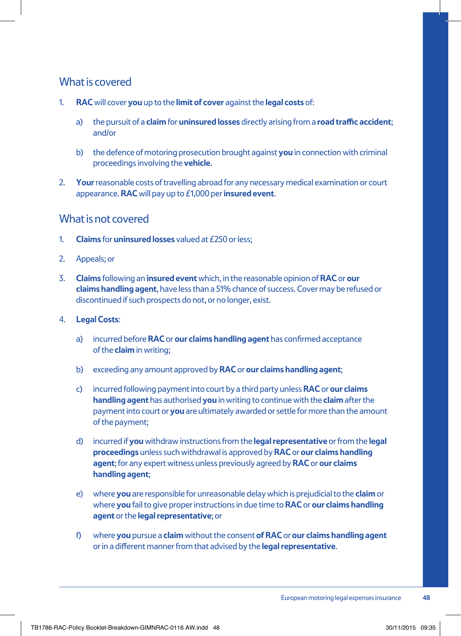#### What is covered

- 1. **RAC** will cover **you** up to the **limit of cover** against the **legal costs** of:
	- a) the pursuit of a **claim** for **uninsured losses** directly arising from a **road traffic accident**; and/or
	- b) the defence of motoring prosecution brought against **you** in connection with criminal proceedings involving the **vehicle**.
- 2. **Your** reasonable costs of travelling abroad for any necessary medical examination or court appearance. **RAC** will pay up to £1,000 per **insured event**.

#### What is not covered

- 1. **Claims** for **uninsured losses** valued at £250 or less;
- 2. Appeals; or
- 3. **Claims** following an **insured event** which, in the reasonable opinion of **RAC** or **our claims handling agent**, have less than a 51% chance of success. Cover may be refused or discontinued if such prospects do not, or no longer, exist.
- 4. **Legal Costs**:
	- a) incurred before **RAC** or **our claims handling agent** has confirmed acceptance of the **claim** in writing;
	- b) exceeding any amount approved by **RAC** or **our claims handling agent**;
	- c) incurred following payment into court by a third party unless **RAC** or **our claims handling agent** has authorised **you** in writing to continue with the **claim** after the payment into court or **you** are ultimately awarded or settle for more than the amount of the payment;
	- d) incurred if **you** withdraw instructions from the **legal representative** or from the **legal proceedings** unless such withdrawal is approved by **RAC** or **our claims handling agent**; for any expert witness unless previously agreed by **RAC** or **our claims handling agent**;
	- e) where **you** are responsible for unreasonable delay which is prejudicial to the **claim** or where **you** fail to give proper instructions in due time to **RAC** or **our claims handling agent** or the **legal representative**; or
	- f) where **you** pursue a **claim** without the consent **ofRAC** or **our claims handling agent** or in a different manner from that advised by the **legal representative**.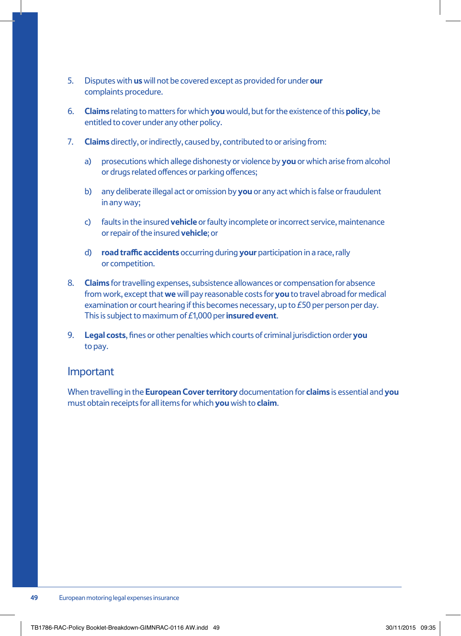- 5. Disputes with **us** will not be covered except as provided for under **our** complaints procedure.
- 6. **Claims** relating to matters for which **you** would, but for the existence of this **policy**, be entitled to cover under any other policy.
- 7. **Claims** directly, or indirectly, caused by, contributed to or arising from:
	- a) prosecutions which allege dishonesty or violence by **you** or which arise from alcohol or drugs related offences or parking offences;
	- b) any deliberate illegal act or omission by **you** or any act which is false or fraudulent in any way;
	- c) faults in the insured **vehicle** or faulty incomplete or incorrect service, maintenance or repair of the insured **vehicle**; or
	- d) **road traffic accidents** occurring during **your** participation in a race, rally or competition.
- 8. **Claims** for travelling expenses, subsistence allowances or compensation for absence from work, except that **we** will pay reasonable costs for **you** to travel abroad for medical examination or court hearing if this becomes necessary, up to £50 per person per day. This is subject to maximum of £1,000 per **insured event**.
- 9. **Legal costs**, fines or other penalties which courts of criminal jurisdiction order **you** to pay.

#### Important

When travelling in the **European Cover territory** documentation for **claims** is essential and **you** must obtain receipts for all items for which **you** wish to **claim**.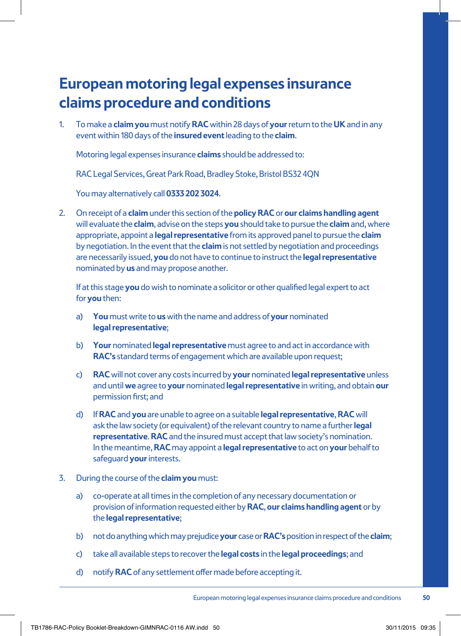### **European motoring legal expenses insurance claims procedure and conditions**

1. To make a **claim you** must notify **RAC** within 28 days of **your** return to the **UK** and in any event within 180 days of the **insured event** leading to the **claim**.

Motoring legal expenses insurance **claims** should be addressed to:

RAC Legal Services, Great Park Road, Bradley Stoke, Bristol BS32 4QN

You may alternatively call **0333 202 3024**.

2. On receipt of a **claim** under this section of the **policy RAC** or **our claims handling agent** will evaluate the **claim**, advise on the steps **you** should take to pursue the **claim** and, where appropriate, appoint a **legal representative** from its approved panel to pursue the **claim** by negotiation. In the event that the **claim** is not settled by negotiation and proceedings are necessarily issued, **you** do not have to continue to instruct the **legal representative** nominated by **us** and may propose another.

If at this stage **you** do wish to nominate a solicitor or other qualified legal expert to act for **you** then:

- a) **You** must write to **us** with the name and address of **your** nominated **legal representative**;
- b) **Your** nominated **legal representative** must agree to and act in accordance with **RAC's** standard terms of engagement which are available upon request;
- c) **RAC** will not cover any costs incurred by **your** nominated **legal representative** unless and until **we** agree to **your** nominated **legal representative** in writing, and obtain **our** permission first; and
- d) If **RAC** and **you** are unable to agree on a suitable **legal representative**, **RAC** will ask the law society (or equivalent) of the relevant country to name a further **legal representative**. **RAC** and the insured must accept that law society's nomination. In the meantime, **RAC** may appoint a **legal representative** to act on **your** behalf to safeguard **your** interests.
- 3. During the course of the **claim you** must:
	- a) co-operate at all times in the completion of any necessary documentation or provision of information requested either by **RAC**, **our claims handling agent** or by the **legal representative**;
	- b) not do anything which may prejudice **your** case or **RAC's** position in respect of the **claim**;
	- c) take all available steps to recover the **legal costs** in the **legal proceedings**; and
	- d) notify **RAC** of any settlement offer made before accepting it.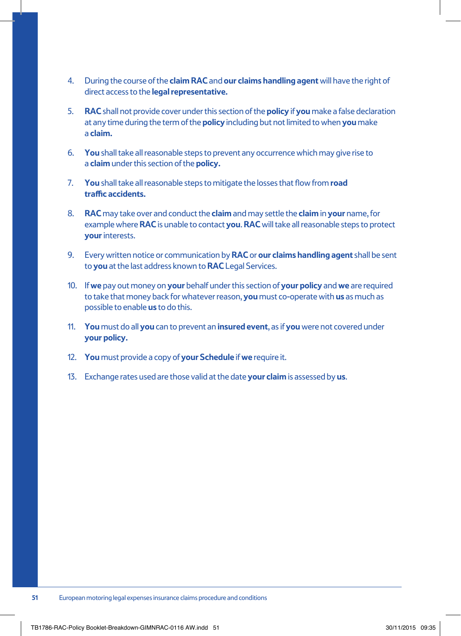- 4. During the course of the **claim RAC** and **our claims handling agent** will have the right of direct access to the **legal representative.**
- 5. **RAC** shall not provide cover under this section of the **policy** if **you** make a false declaration at any time during the term of the **policy** including but not limited to when **you** make a **claim.**
- 6. **You** shall take all reasonable steps to prevent any occurrence which may give rise to a **claim** under this section of the **policy.**
- 7. **You** shall take all reasonable steps to mitigate the losses that flow from **road traffic accidents.**
- 8. **RAC** may take over and conduct the **claim** and may settle the **claim** in **your** name, for example where **RAC** is unable to contact **you**. **RAC** will take all reasonable steps to protect **your** interests.
- 9. Every written notice or communication by **RAC** or **our claims handling agent** shall be sent to **you** at the last address known to **RAC** Legal Services.
- 10. If **we** pay out money on **your** behalf under this section of **your policy** and **we** are required to take that money back for whatever reason, **you** must co-operate with **us** as much as possible to enable **us** to do this.
- 11. **You** must do all **you** can to prevent an **insured event**, as if **you** were not covered under **your policy.**
- 12. **You** must provide a copy of **your Schedule** if **we** require it.
- 13. Exchange rates used are those valid at the date **your claim** is assessed by **us**.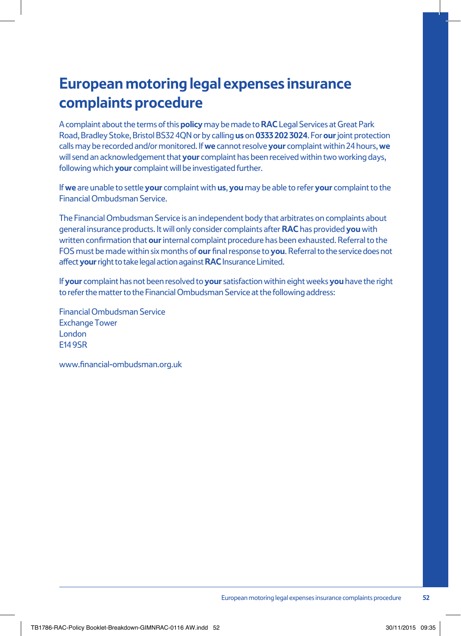### **European motoring legal expenses insurance complaints procedure**

A complaint about the terms of this **policy** may be made to **RAC** Legal Services at Great Park Road, Bradley Stoke, Bristol BS32 4QN or by calling **us** on **0333 202 3024**. For **our** joint protection calls may be recorded and/or monitored. If **we** cannot resolve **your** complaint within 24 hours, **we** will send an acknowledgement that **your** complaint has been received within two working days, following which **your** complaint will be investigated further.

If **we** are unable to settle **your** complaint with **us**, **you** may be able to refer **your** complaint to the Financial Ombudsman Service.

The Financial Ombudsman Service is an independent body that arbitrates on complaints about general insurance products. It will only consider complaints after **RAC** has provided **you** with written confirmation that **our** internal complaint procedure has been exhausted. Referral to the FOS must be made within six months of **our** final response to **you**. Referral to the service does not affect **your** right to take legal action against **RAC** Insurance Limited.

If **your** complaint has not been resolved to **your** satisfaction within eight weeks **you** have the right to refer the matter to the Financial Ombudsman Service at the following address:

Financial Ombudsman Service Exchange Tower London E14 9SR

www.financial-ombudsman.org.uk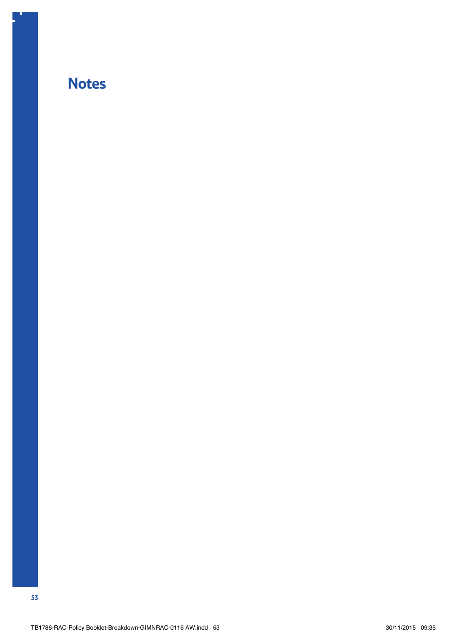### **Notes**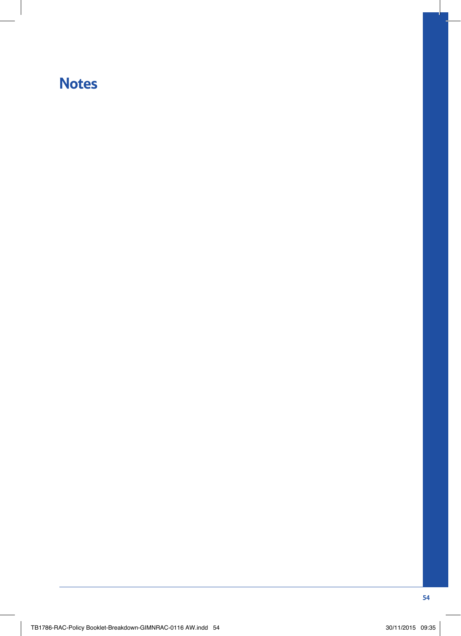### **Notes**